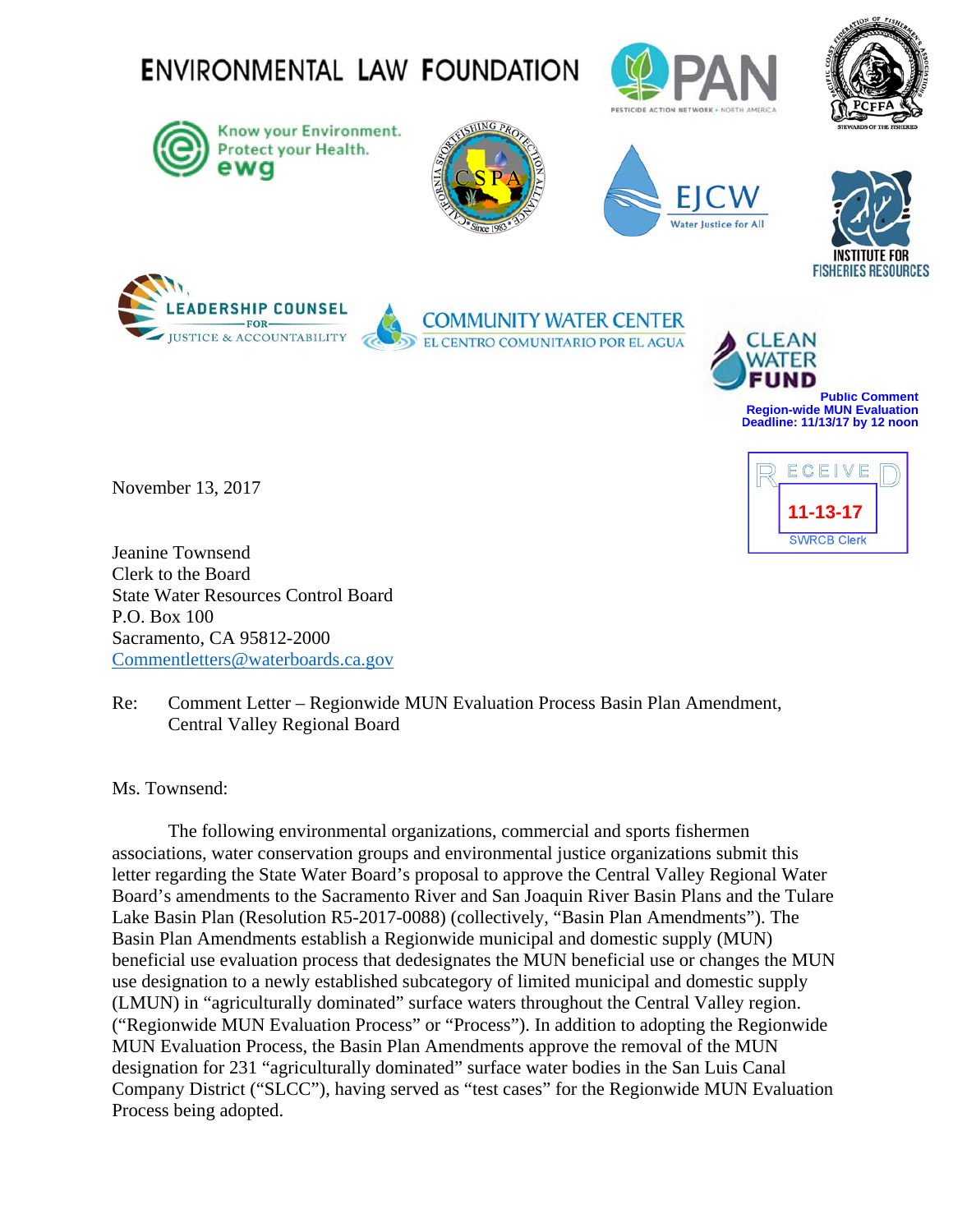

November 13, 2017



Jeanine Townsend Clerk to the Board State Water Resources Control Board P.O. Box 100 Sacramento, CA 95812-2000 Commentletters@waterboards.ca.gov

Re: Comment Letter – Regionwide MUN Evaluation Process Basin Plan Amendment, Central Valley Regional Board

Ms. Townsend:

The following environmental organizations, commercial and sports fishermen associations, water conservation groups and environmental justice organizations submit this letter regarding the State Water Board's proposal to approve the Central Valley Regional Water Board's amendments to the Sacramento River and San Joaquin River Basin Plans and the Tulare Lake Basin Plan (Resolution R5-2017-0088) (collectively, "Basin Plan Amendments"). The Basin Plan Amendments establish a Regionwide municipal and domestic supply (MUN) beneficial use evaluation process that dedesignates the MUN beneficial use or changes the MUN use designation to a newly established subcategory of limited municipal and domestic supply (LMUN) in "agriculturally dominated" surface waters throughout the Central Valley region. ("Regionwide MUN Evaluation Process" or "Process"). In addition to adopting the Regionwide MUN Evaluation Process, the Basin Plan Amendments approve the removal of the MUN designation for 231 "agriculturally dominated" surface water bodies in the San Luis Canal Company District ("SLCC"), having served as "test cases" for the Regionwide MUN Evaluation Process being adopted.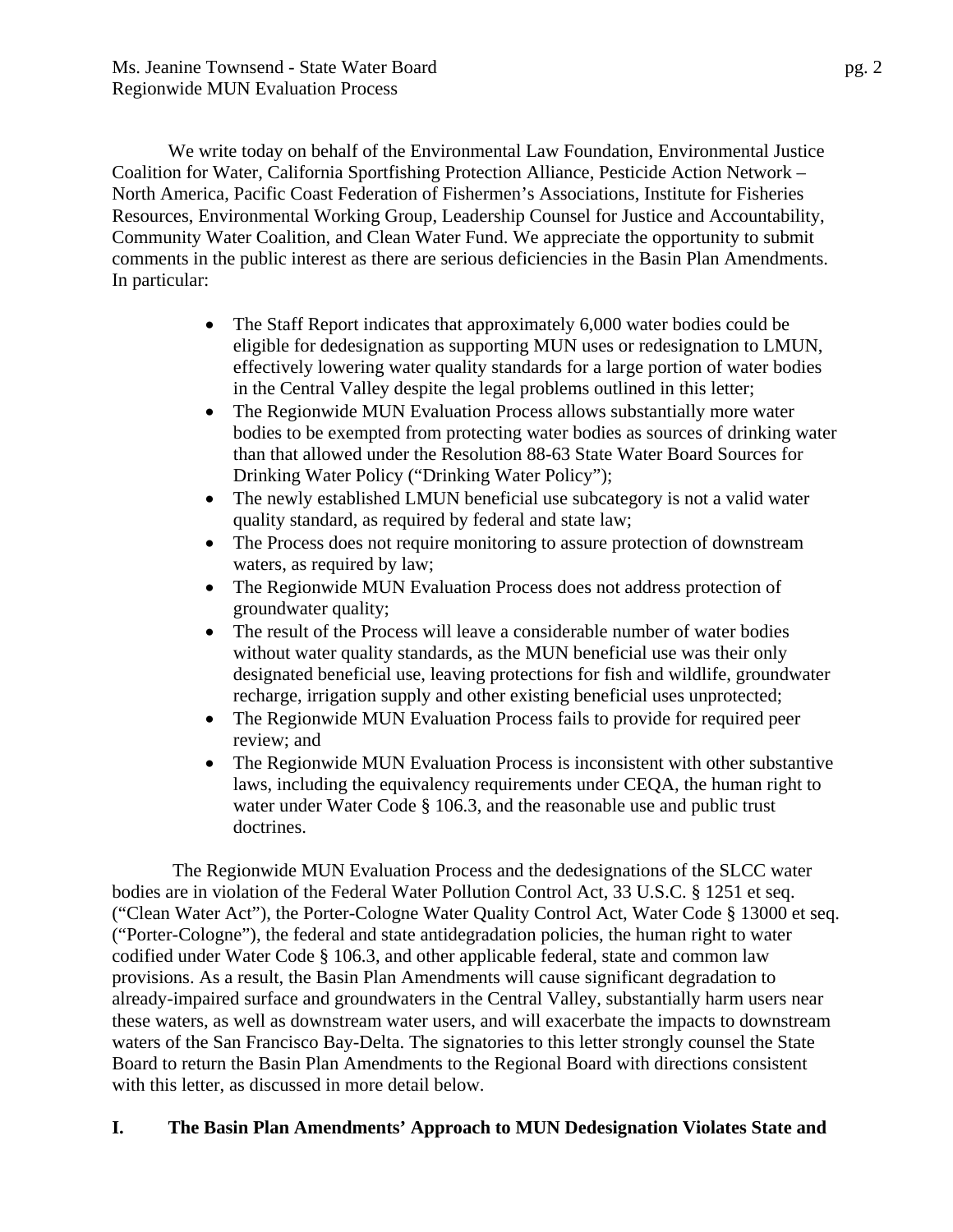We write today on behalf of the Environmental Law Foundation, Environmental Justice Coalition for Water, California Sportfishing Protection Alliance, Pesticide Action Network – North America, Pacific Coast Federation of Fishermen's Associations, Institute for Fisheries Resources, Environmental Working Group, Leadership Counsel for Justice and Accountability, Community Water Coalition, and Clean Water Fund. We appreciate the opportunity to submit comments in the public interest as there are serious deficiencies in the Basin Plan Amendments. In particular:

- The Staff Report indicates that approximately 6,000 water bodies could be eligible for dedesignation as supporting MUN uses or redesignation to LMUN, effectively lowering water quality standards for a large portion of water bodies in the Central Valley despite the legal problems outlined in this letter;
- The Regionwide MUN Evaluation Process allows substantially more water bodies to be exempted from protecting water bodies as sources of drinking water than that allowed under the Resolution 88-63 State Water Board Sources for Drinking Water Policy ("Drinking Water Policy");
- The newly established LMUN beneficial use subcategory is not a valid water quality standard, as required by federal and state law;
- The Process does not require monitoring to assure protection of downstream waters, as required by law;
- The Regionwide MUN Evaluation Process does not address protection of groundwater quality;
- The result of the Process will leave a considerable number of water bodies without water quality standards, as the MUN beneficial use was their only designated beneficial use, leaving protections for fish and wildlife, groundwater recharge, irrigation supply and other existing beneficial uses unprotected;
- The Regionwide MUN Evaluation Process fails to provide for required peer review; and
- The Regionwide MUN Evaluation Process is inconsistent with other substantive laws, including the equivalency requirements under CEQA, the human right to water under Water Code § 106.3, and the reasonable use and public trust doctrines.

 The Regionwide MUN Evaluation Process and the dedesignations of the SLCC water bodies are in violation of the Federal Water Pollution Control Act, 33 U.S.C. § 1251 et seq. ("Clean Water Act"), the Porter-Cologne Water Quality Control Act, Water Code § 13000 et seq. ("Porter-Cologne"), the federal and state antidegradation policies, the human right to water codified under Water Code § 106.3, and other applicable federal, state and common law provisions. As a result, the Basin Plan Amendments will cause significant degradation to already-impaired surface and groundwaters in the Central Valley, substantially harm users near these waters, as well as downstream water users, and will exacerbate the impacts to downstream waters of the San Francisco Bay-Delta. The signatories to this letter strongly counsel the State Board to return the Basin Plan Amendments to the Regional Board with directions consistent with this letter, as discussed in more detail below.

## **I. The Basin Plan Amendments' Approach to MUN Dedesignation Violates State and**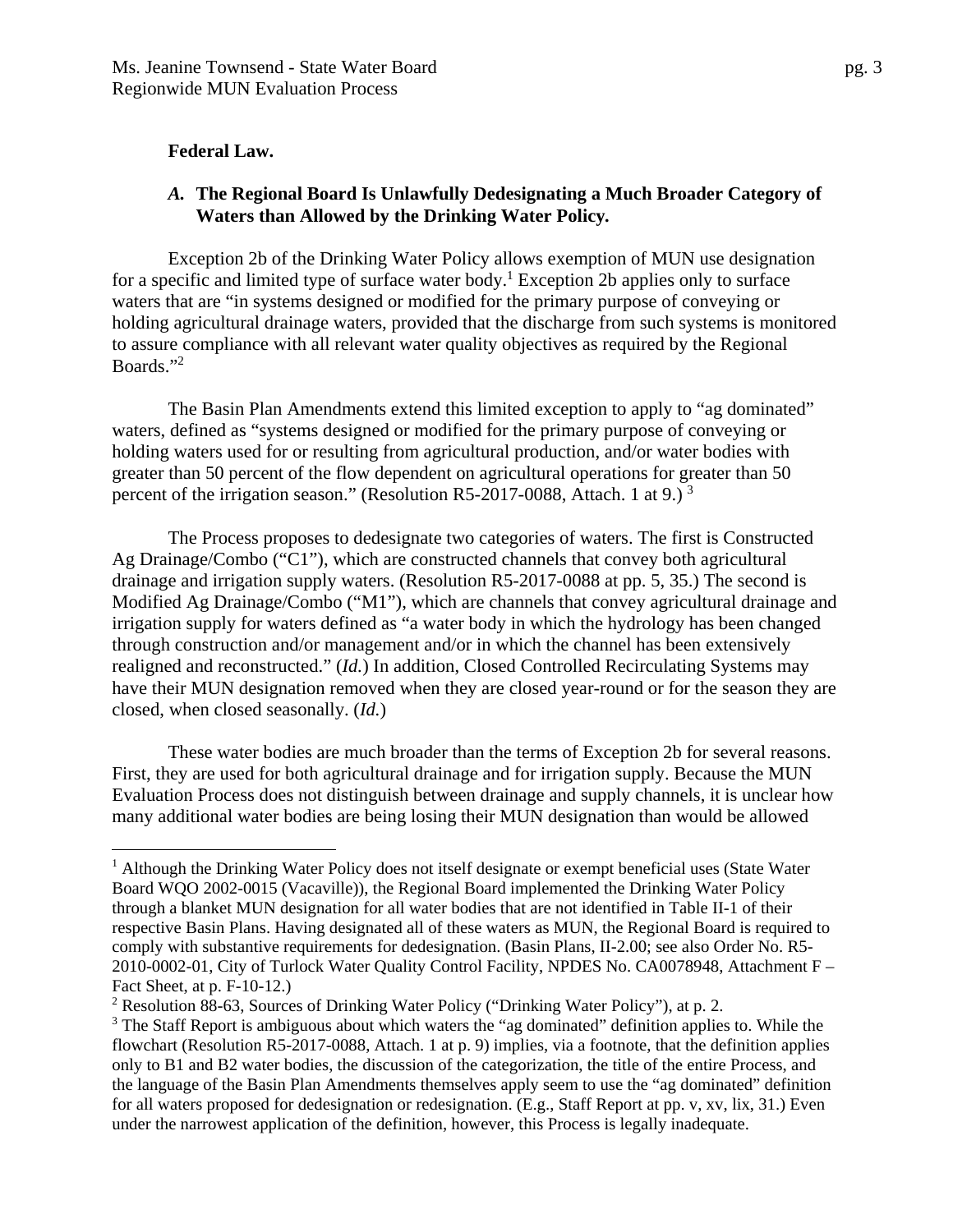#### **Federal Law.**

 $\overline{a}$ 

#### *A.* **The Regional Board Is Unlawfully Dedesignating a Much Broader Category of Waters than Allowed by the Drinking Water Policy***.*

Exception 2b of the Drinking Water Policy allows exemption of MUN use designation for a specific and limited type of surface water body.<sup>1</sup> Exception 2b applies only to surface waters that are "in systems designed or modified for the primary purpose of conveying or holding agricultural drainage waters, provided that the discharge from such systems is monitored to assure compliance with all relevant water quality objectives as required by the Regional Boards."<sup>2</sup>

The Basin Plan Amendments extend this limited exception to apply to "ag dominated" waters, defined as "systems designed or modified for the primary purpose of conveying or holding waters used for or resulting from agricultural production, and/or water bodies with greater than 50 percent of the flow dependent on agricultural operations for greater than 50 percent of the irrigation season." (Resolution R5-2017-0088, Attach. 1 at 9.)<sup>3</sup>

The Process proposes to dedesignate two categories of waters. The first is Constructed Ag Drainage/Combo ("C1"), which are constructed channels that convey both agricultural drainage and irrigation supply waters. (Resolution R5-2017-0088 at pp. 5, 35.) The second is Modified Ag Drainage/Combo ("M1"), which are channels that convey agricultural drainage and irrigation supply for waters defined as "a water body in which the hydrology has been changed through construction and/or management and/or in which the channel has been extensively realigned and reconstructed." (*Id.*) In addition, Closed Controlled Recirculating Systems may have their MUN designation removed when they are closed year-round or for the season they are closed, when closed seasonally. (*Id.*)

 These water bodies are much broader than the terms of Exception 2b for several reasons. First, they are used for both agricultural drainage and for irrigation supply. Because the MUN Evaluation Process does not distinguish between drainage and supply channels, it is unclear how many additional water bodies are being losing their MUN designation than would be allowed

<sup>&</sup>lt;sup>1</sup> Although the Drinking Water Policy does not itself designate or exempt beneficial uses (State Water Board WQO 2002-0015 (Vacaville)), the Regional Board implemented the Drinking Water Policy through a blanket MUN designation for all water bodies that are not identified in Table II-1 of their respective Basin Plans. Having designated all of these waters as MUN, the Regional Board is required to comply with substantive requirements for dedesignation. (Basin Plans, II-2.00; see also Order No. R5- 2010-0002-01, City of Turlock Water Quality Control Facility, NPDES No. CA0078948, Attachment F – Fact Sheet, at p. F-10-12.)

<sup>&</sup>lt;sup>2</sup> Resolution 88-63, Sources of Drinking Water Policy ("Drinking Water Policy"), at p. 2.

 $3$  The Staff Report is ambiguous about which waters the "ag dominated" definition applies to. While the flowchart (Resolution R5-2017-0088, Attach. 1 at p. 9) implies, via a footnote, that the definition applies only to B1 and B2 water bodies, the discussion of the categorization, the title of the entire Process, and the language of the Basin Plan Amendments themselves apply seem to use the "ag dominated" definition for all waters proposed for dedesignation or redesignation. (E.g., Staff Report at pp. v, xv, lix, 31.) Even under the narrowest application of the definition, however, this Process is legally inadequate.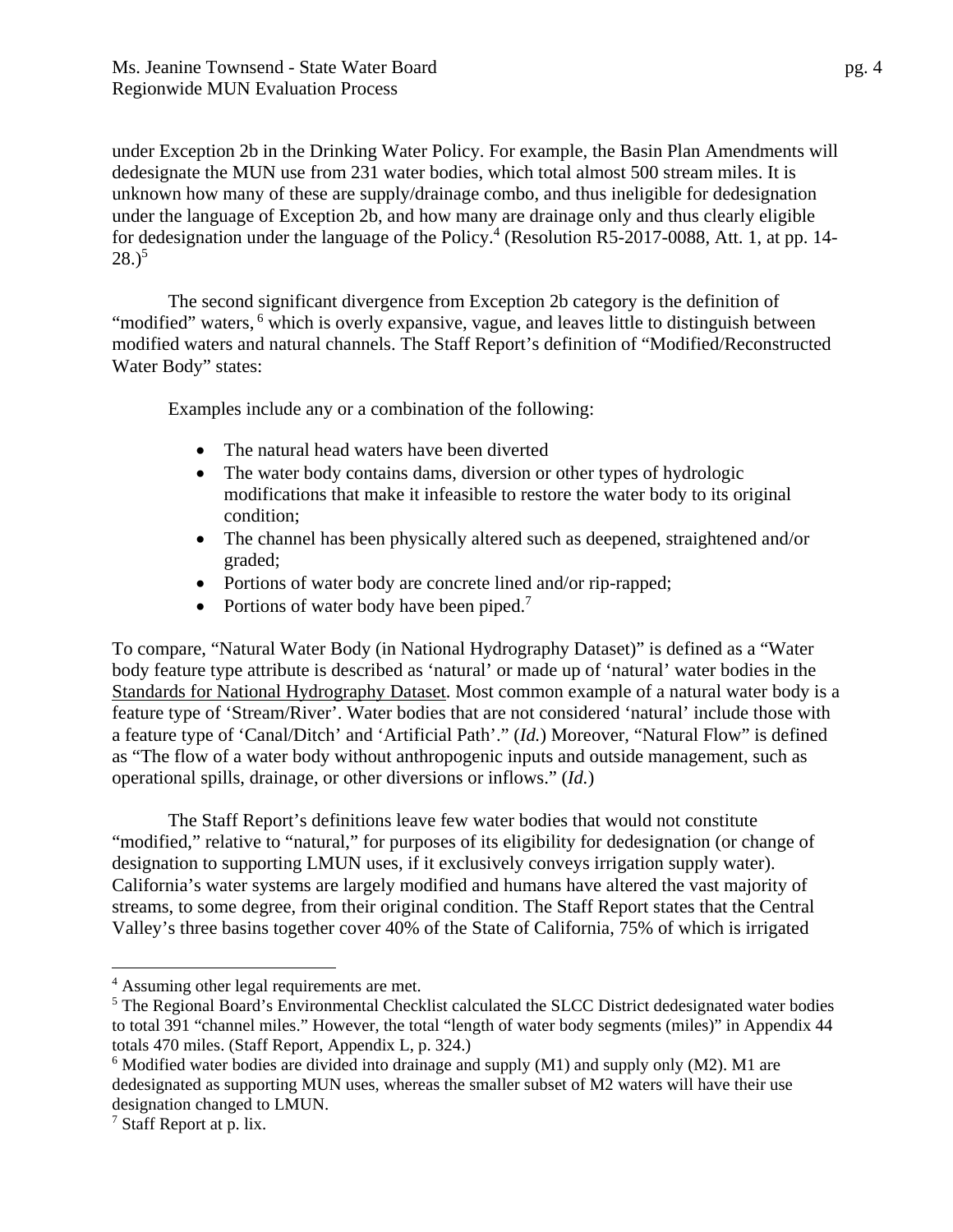under Exception 2b in the Drinking Water Policy. For example, the Basin Plan Amendments will dedesignate the MUN use from 231 water bodies, which total almost 500 stream miles. It is unknown how many of these are supply/drainage combo, and thus ineligible for dedesignation under the language of Exception 2b, and how many are drainage only and thus clearly eligible for dedesignation under the language of the Policy.<sup>4</sup> (Resolution R5-2017-0088, Att. 1, at pp. 14- $(28.)^5$ 

The second significant divergence from Exception 2b category is the definition of "modified" waters, <sup>6</sup> which is overly expansive, vague, and leaves little to distinguish between modified waters and natural channels. The Staff Report's definition of "Modified/Reconstructed Water Body" states:

Examples include any or a combination of the following:

- The natural head waters have been diverted
- The water body contains dams, diversion or other types of hydrologic modifications that make it infeasible to restore the water body to its original condition;
- The channel has been physically altered such as deepened, straightened and/or graded;
- Portions of water body are concrete lined and/or rip-rapped;
- Portions of water body have been piped.<sup>7</sup>

To compare, "Natural Water Body (in National Hydrography Dataset)" is defined as a "Water body feature type attribute is described as 'natural' or made up of 'natural' water bodies in the Standards for National Hydrography Dataset. Most common example of a natural water body is a feature type of 'Stream/River'. Water bodies that are not considered 'natural' include those with a feature type of 'Canal/Ditch' and 'Artificial Path'." (*Id.*) Moreover, "Natural Flow" is defined as "The flow of a water body without anthropogenic inputs and outside management, such as operational spills, drainage, or other diversions or inflows." (*Id.*)

The Staff Report's definitions leave few water bodies that would not constitute "modified," relative to "natural," for purposes of its eligibility for dedesignation (or change of designation to supporting LMUN uses, if it exclusively conveys irrigation supply water). California's water systems are largely modified and humans have altered the vast majority of streams, to some degree, from their original condition. The Staff Report states that the Central Valley's three basins together cover 40% of the State of California, 75% of which is irrigated

<sup>&</sup>lt;sup>4</sup> Assuming other legal requirements are met.

<sup>&</sup>lt;sup>5</sup> The Regional Board's Environmental Checklist calculated the SLCC District dedesignated water bodies to total 391 "channel miles." However, the total "length of water body segments (miles)" in Appendix 44 totals 470 miles. (Staff Report, Appendix L, p. 324.)

 $6$  Modified water bodies are divided into drainage and supply (M1) and supply only (M2). M1 are dedesignated as supporting MUN uses, whereas the smaller subset of M2 waters will have their use designation changed to LMUN.

<sup>&</sup>lt;sup>7</sup> Staff Report at p. lix.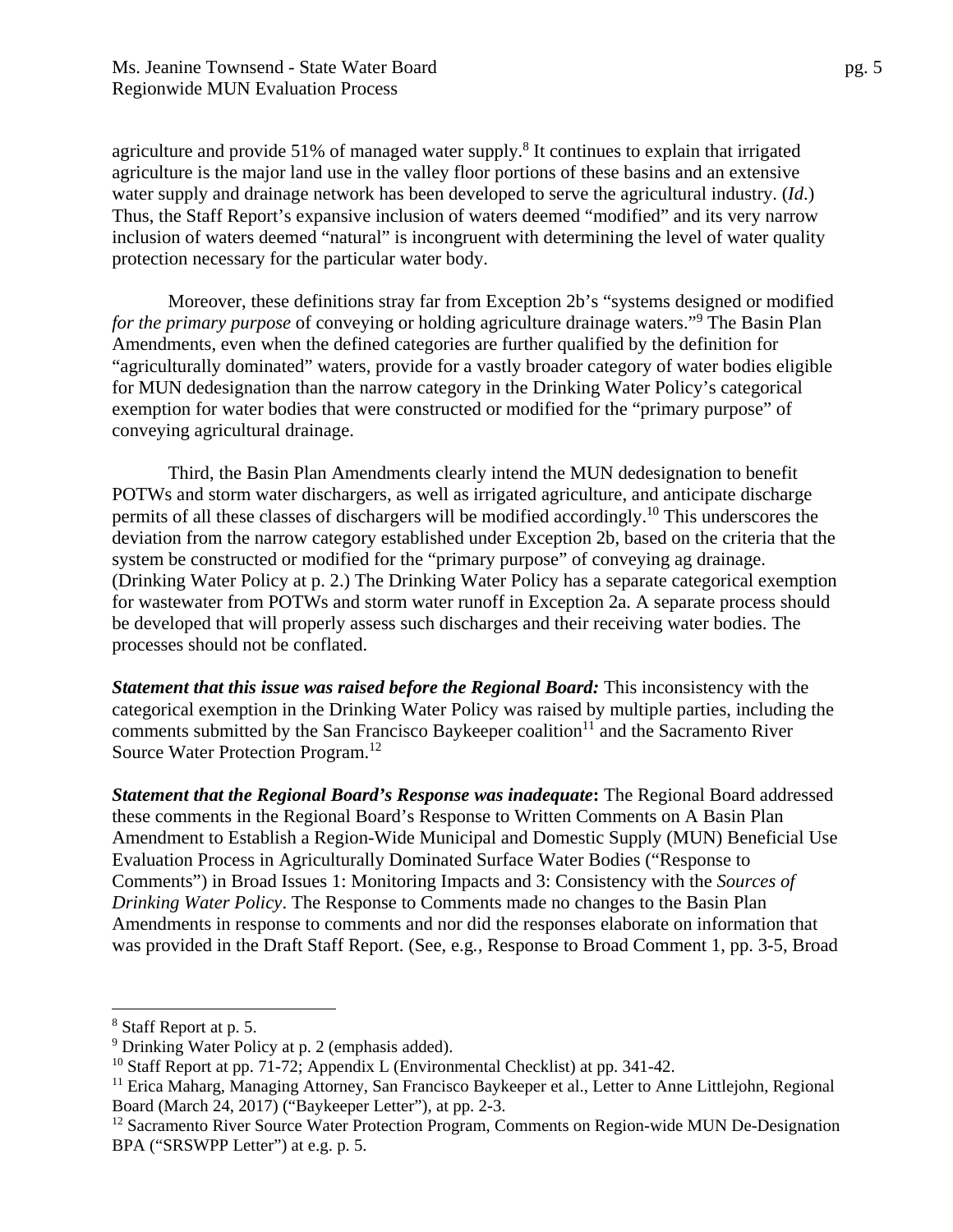agriculture and provide 51% of managed water supply.<sup>8</sup> It continues to explain that irrigated agriculture is the major land use in the valley floor portions of these basins and an extensive water supply and drainage network has been developed to serve the agricultural industry. (*Id*.) Thus, the Staff Report's expansive inclusion of waters deemed "modified" and its very narrow inclusion of waters deemed "natural" is incongruent with determining the level of water quality protection necessary for the particular water body.

Moreover, these definitions stray far from Exception 2b's "systems designed or modified *for the primary purpose* of conveying or holding agriculture drainage waters."<sup>9</sup> The Basin Plan Amendments, even when the defined categories are further qualified by the definition for "agriculturally dominated" waters, provide for a vastly broader category of water bodies eligible for MUN dedesignation than the narrow category in the Drinking Water Policy's categorical exemption for water bodies that were constructed or modified for the "primary purpose" of conveying agricultural drainage.

Third, the Basin Plan Amendments clearly intend the MUN dedesignation to benefit POTWs and storm water dischargers, as well as irrigated agriculture, and anticipate discharge permits of all these classes of dischargers will be modified accordingly.10 This underscores the deviation from the narrow category established under Exception 2b, based on the criteria that the system be constructed or modified for the "primary purpose" of conveying ag drainage. (Drinking Water Policy at p. 2.) The Drinking Water Policy has a separate categorical exemption for wastewater from POTWs and storm water runoff in Exception 2a. A separate process should be developed that will properly assess such discharges and their receiving water bodies. The processes should not be conflated.

*Statement that this issue was raised before the Regional Board:* This inconsistency with the categorical exemption in the Drinking Water Policy was raised by multiple parties, including the comments submitted by the San Francisco Baykeeper coalition<sup>11</sup> and the Sacramento River Source Water Protection Program.12

*Statement that the Regional Board's Response was inadequate***:** The Regional Board addressed these comments in the Regional Board's Response to Written Comments on A Basin Plan Amendment to Establish a Region-Wide Municipal and Domestic Supply (MUN) Beneficial Use Evaluation Process in Agriculturally Dominated Surface Water Bodies ("Response to Comments") in Broad Issues 1: Monitoring Impacts and 3: Consistency with the *Sources of Drinking Water Policy*. The Response to Comments made no changes to the Basin Plan Amendments in response to comments and nor did the responses elaborate on information that was provided in the Draft Staff Report. (See, e.g*.,* Response to Broad Comment 1, pp. 3-5, Broad

<u>.</u>

<sup>&</sup>lt;sup>8</sup> Staff Report at p. 5.

<sup>&</sup>lt;sup>9</sup> Drinking Water Policy at p. 2 (emphasis added).

<sup>&</sup>lt;sup>10</sup> Staff Report at pp. 71-72; Appendix L (Environmental Checklist) at pp. 341-42.

<sup>&</sup>lt;sup>11</sup> Erica Maharg, Managing Attorney, San Francisco Baykeeper et al., Letter to Anne Littlejohn, Regional Board (March 24, 2017) ("Baykeeper Letter"), at pp. 2-3.

<sup>&</sup>lt;sup>12</sup> Sacramento River Source Water Protection Program, Comments on Region-wide MUN De-Designation BPA ("SRSWPP Letter") at e.g. p. 5.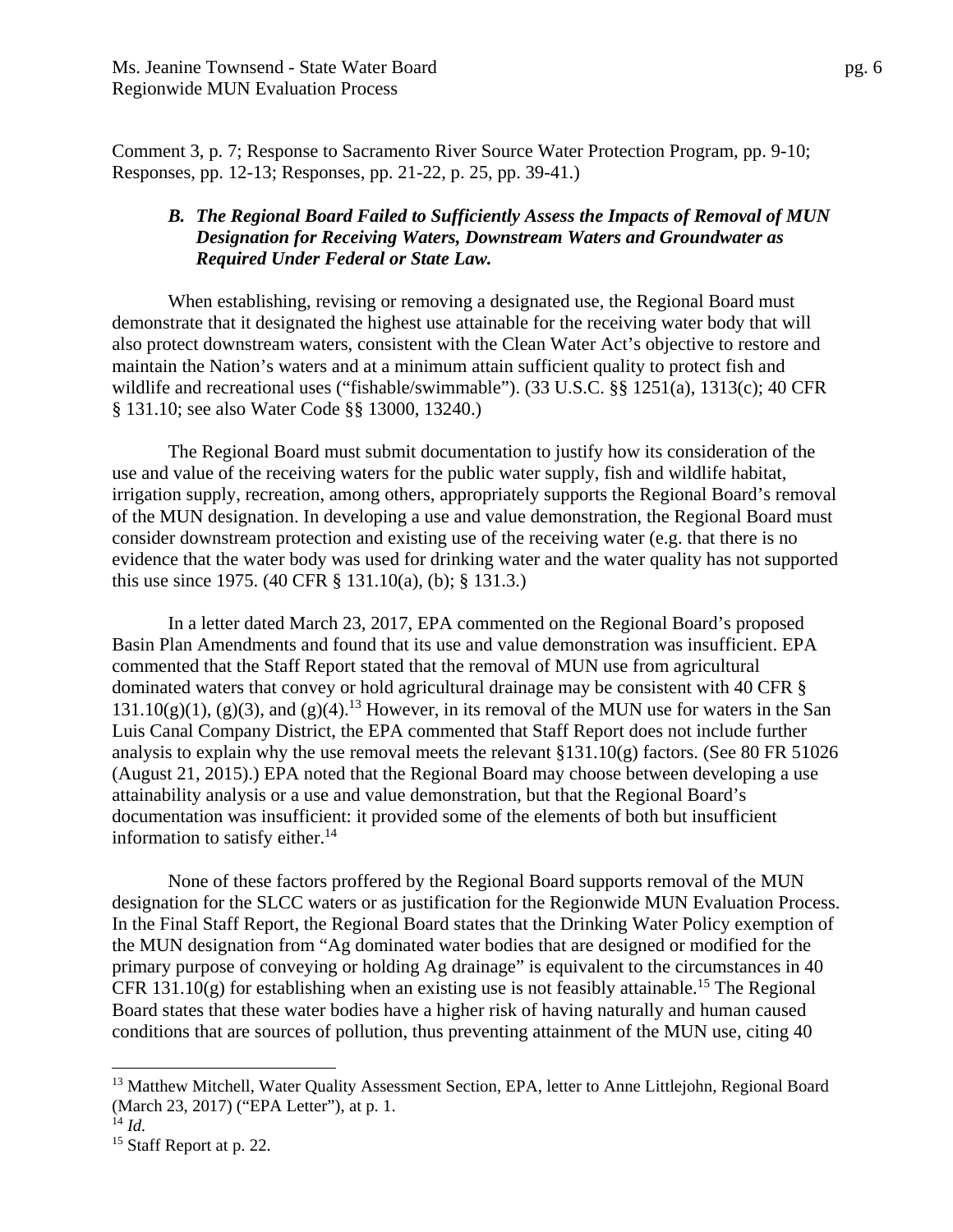Comment 3, p. 7; Response to Sacramento River Source Water Protection Program, pp. 9-10; Responses, pp. 12-13; Responses, pp. 21-22, p. 25, pp. 39-41.)

#### *B. The Regional Board Failed to Sufficiently Assess the Impacts of Removal of MUN Designation for Receiving Waters, Downstream Waters and Groundwater as Required Under Federal or State Law.*

When establishing, revising or removing a designated use, the Regional Board must demonstrate that it designated the highest use attainable for the receiving water body that will also protect downstream waters, consistent with the Clean Water Act's objective to restore and maintain the Nation's waters and at a minimum attain sufficient quality to protect fish and wildlife and recreational uses ("fishable/swimmable"). (33 U.S.C. §§ 1251(a), 1313(c); 40 CFR § 131.10; see also Water Code §§ 13000, 13240.)

The Regional Board must submit documentation to justify how its consideration of the use and value of the receiving waters for the public water supply, fish and wildlife habitat, irrigation supply, recreation, among others, appropriately supports the Regional Board's removal of the MUN designation. In developing a use and value demonstration, the Regional Board must consider downstream protection and existing use of the receiving water (e.g. that there is no evidence that the water body was used for drinking water and the water quality has not supported this use since 1975. (40 CFR § 131.10(a), (b); § 131.3.)

In a letter dated March 23, 2017, EPA commented on the Regional Board's proposed Basin Plan Amendments and found that its use and value demonstration was insufficient. EPA commented that the Staff Report stated that the removal of MUN use from agricultural dominated waters that convey or hold agricultural drainage may be consistent with 40 CFR §  $131.10(g)(1)$ , (g)(3), and (g)(4).<sup>13</sup> However, in its removal of the MUN use for waters in the San Luis Canal Company District, the EPA commented that Staff Report does not include further analysis to explain why the use removal meets the relevant §131.10(g) factors. (See 80 FR 51026 (August 21, 2015).) EPA noted that the Regional Board may choose between developing a use attainability analysis or a use and value demonstration, but that the Regional Board's documentation was insufficient: it provided some of the elements of both but insufficient information to satisfy either. $14$ 

None of these factors proffered by the Regional Board supports removal of the MUN designation for the SLCC waters or as justification for the Regionwide MUN Evaluation Process. In the Final Staff Report, the Regional Board states that the Drinking Water Policy exemption of the MUN designation from "Ag dominated water bodies that are designed or modified for the primary purpose of conveying or holding Ag drainage" is equivalent to the circumstances in 40 CFR 131.10(g) for establishing when an existing use is not feasibly attainable.<sup>15</sup> The Regional Board states that these water bodies have a higher risk of having naturally and human caused conditions that are sources of pollution, thus preventing attainment of the MUN use, citing 40

1

<sup>&</sup>lt;sup>13</sup> Matthew Mitchell, Water Quality Assessment Section, EPA, letter to Anne Littlejohn, Regional Board (March 23, 2017) ("EPA Letter"), at p. 1.

 $^{14}$  *Id.* 

<sup>&</sup>lt;sup>15</sup> Staff Report at p. 22.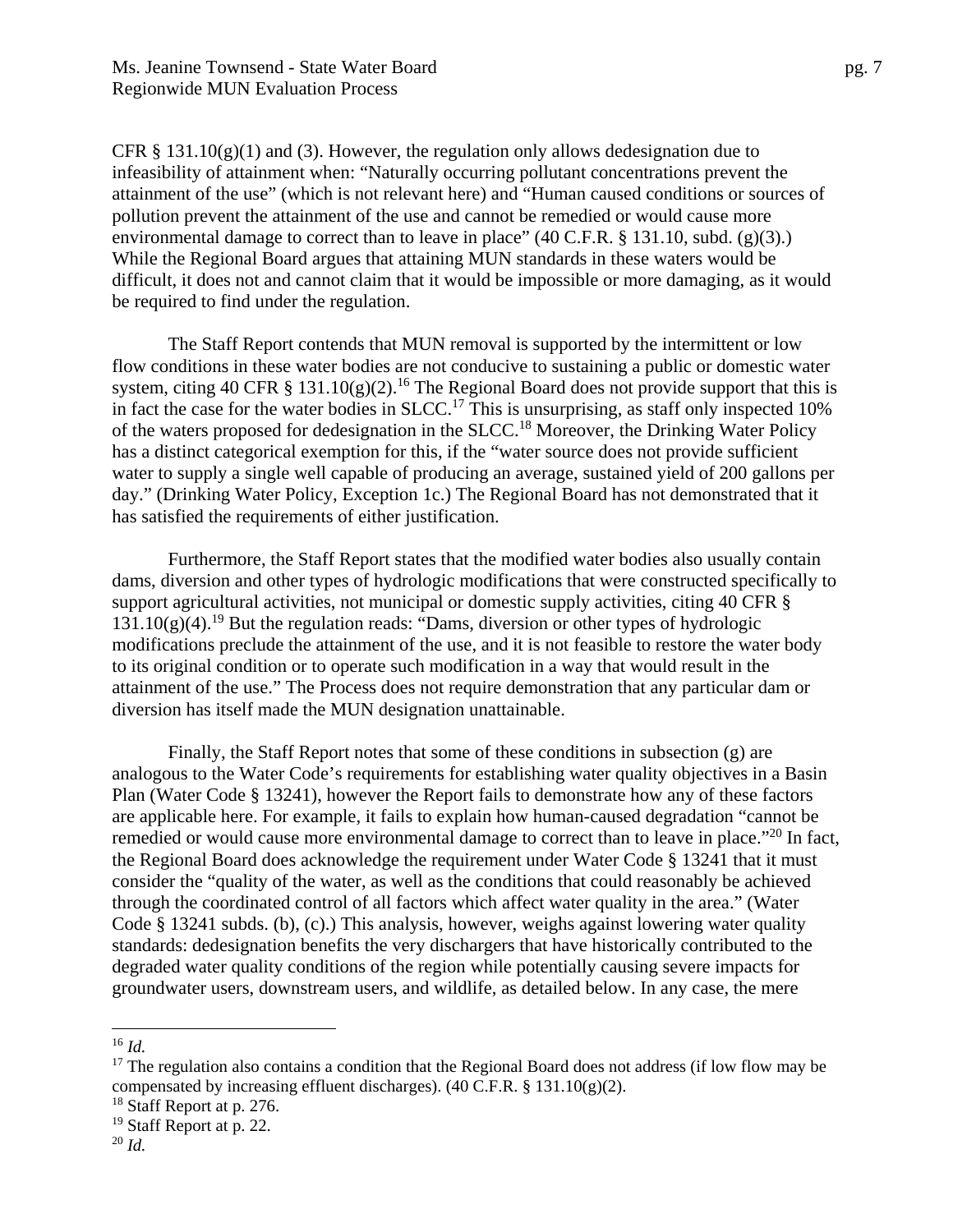CFR § 131.10(g)(1) and (3). However, the regulation only allows dedesignation due to infeasibility of attainment when: "Naturally occurring pollutant concentrations prevent the attainment of the use" (which is not relevant here) and "Human caused conditions or sources of pollution prevent the attainment of the use and cannot be remedied or would cause more environmental damage to correct than to leave in place"  $(40 \text{ C.F.R.} \S 131.10, \text{subd.} (g)(3))$ . While the Regional Board argues that attaining MUN standards in these waters would be difficult, it does not and cannot claim that it would be impossible or more damaging, as it would be required to find under the regulation.

The Staff Report contends that MUN removal is supported by the intermittent or low flow conditions in these water bodies are not conducive to sustaining a public or domestic water system, citing 40 CFR § 131.10(g)(2).<sup>16</sup> The Regional Board does not provide support that this is in fact the case for the water bodies in SLCC.<sup>17</sup> This is unsurprising, as staff only inspected 10% of the waters proposed for dedesignation in the SLCC.18 Moreover, the Drinking Water Policy has a distinct categorical exemption for this, if the "water source does not provide sufficient water to supply a single well capable of producing an average, sustained yield of 200 gallons per day." (Drinking Water Policy, Exception 1c.) The Regional Board has not demonstrated that it has satisfied the requirements of either justification.

Furthermore, the Staff Report states that the modified water bodies also usually contain dams, diversion and other types of hydrologic modifications that were constructed specifically to support agricultural activities, not municipal or domestic supply activities, citing 40 CFR §  $131.10(g)(4)$ .<sup>19</sup> But the regulation reads: "Dams, diversion or other types of hydrologic modifications preclude the attainment of the use, and it is not feasible to restore the water body to its original condition or to operate such modification in a way that would result in the attainment of the use." The Process does not require demonstration that any particular dam or diversion has itself made the MUN designation unattainable.

Finally, the Staff Report notes that some of these conditions in subsection (g) are analogous to the Water Code's requirements for establishing water quality objectives in a Basin Plan (Water Code § 13241), however the Report fails to demonstrate how any of these factors are applicable here. For example, it fails to explain how human-caused degradation "cannot be remedied or would cause more environmental damage to correct than to leave in place."<sup>20</sup> In fact, the Regional Board does acknowledge the requirement under Water Code § 13241 that it must consider the "quality of the water, as well as the conditions that could reasonably be achieved through the coordinated control of all factors which affect water quality in the area." (Water Code § 13241 subds. (b), (c).) This analysis, however, weighs against lowering water quality standards: dedesignation benefits the very dischargers that have historically contributed to the degraded water quality conditions of the region while potentially causing severe impacts for groundwater users, downstream users, and wildlife, as detailed below. In any case, the mere

<sup>1</sup> <sup>16</sup> *Id.*

 $17$  The regulation also contains a condition that the Regional Board does not address (if low flow may be compensated by increasing effluent discharges). (40 C.F.R. § 131.10(g)(2).

<sup>&</sup>lt;sup>18</sup> Staff Report at p. 276.

<sup>19</sup> Staff Report at p. 22.

<sup>20</sup> *Id.*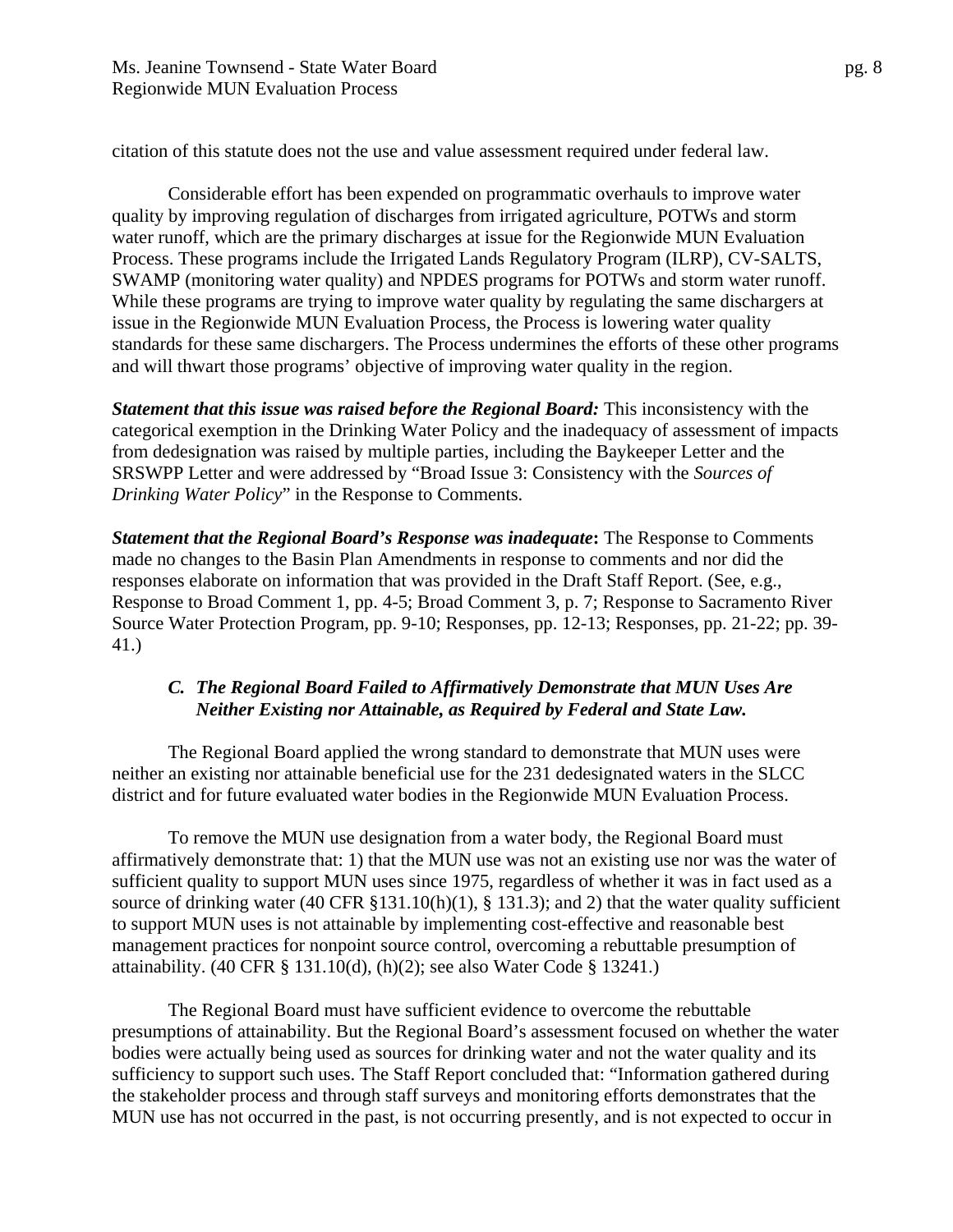citation of this statute does not the use and value assessment required under federal law.

Considerable effort has been expended on programmatic overhauls to improve water quality by improving regulation of discharges from irrigated agriculture, POTWs and storm water runoff, which are the primary discharges at issue for the Regionwide MUN Evaluation Process. These programs include the Irrigated Lands Regulatory Program (ILRP), CV-SALTS, SWAMP (monitoring water quality) and NPDES programs for POTWs and storm water runoff. While these programs are trying to improve water quality by regulating the same dischargers at issue in the Regionwide MUN Evaluation Process, the Process is lowering water quality standards for these same dischargers. The Process undermines the efforts of these other programs and will thwart those programs' objective of improving water quality in the region.

*Statement that this issue was raised before the Regional Board:* This inconsistency with the categorical exemption in the Drinking Water Policy and the inadequacy of assessment of impacts from dedesignation was raised by multiple parties, including the Baykeeper Letter and the SRSWPP Letter and were addressed by "Broad Issue 3: Consistency with the *Sources of Drinking Water Policy*" in the Response to Comments.

*Statement that the Regional Board's Response was inadequate***:** The Response to Comments made no changes to the Basin Plan Amendments in response to comments and nor did the responses elaborate on information that was provided in the Draft Staff Report. (See, e.g., Response to Broad Comment 1, pp. 4-5; Broad Comment 3, p. 7; Response to Sacramento River Source Water Protection Program, pp. 9-10; Responses, pp. 12-13; Responses, pp. 21-22; pp. 39- 41.)

#### *C. The Regional Board Failed to Affirmatively Demonstrate that MUN Uses Are Neither Existing nor Attainable, as Required by Federal and State Law.*

The Regional Board applied the wrong standard to demonstrate that MUN uses were neither an existing nor attainable beneficial use for the 231 dedesignated waters in the SLCC district and for future evaluated water bodies in the Regionwide MUN Evaluation Process.

To remove the MUN use designation from a water body, the Regional Board must affirmatively demonstrate that: 1) that the MUN use was not an existing use nor was the water of sufficient quality to support MUN uses since 1975, regardless of whether it was in fact used as a source of drinking water (40 CFR  $\S 131.10(h)(1)$ ,  $\S 131.3$ ); and 2) that the water quality sufficient to support MUN uses is not attainable by implementing cost-effective and reasonable best management practices for nonpoint source control, overcoming a rebuttable presumption of attainability. (40 CFR § 131.10(d), (h)(2); see also Water Code § 13241.)

The Regional Board must have sufficient evidence to overcome the rebuttable presumptions of attainability. But the Regional Board's assessment focused on whether the water bodies were actually being used as sources for drinking water and not the water quality and its sufficiency to support such uses. The Staff Report concluded that: "Information gathered during the stakeholder process and through staff surveys and monitoring efforts demonstrates that the MUN use has not occurred in the past, is not occurring presently, and is not expected to occur in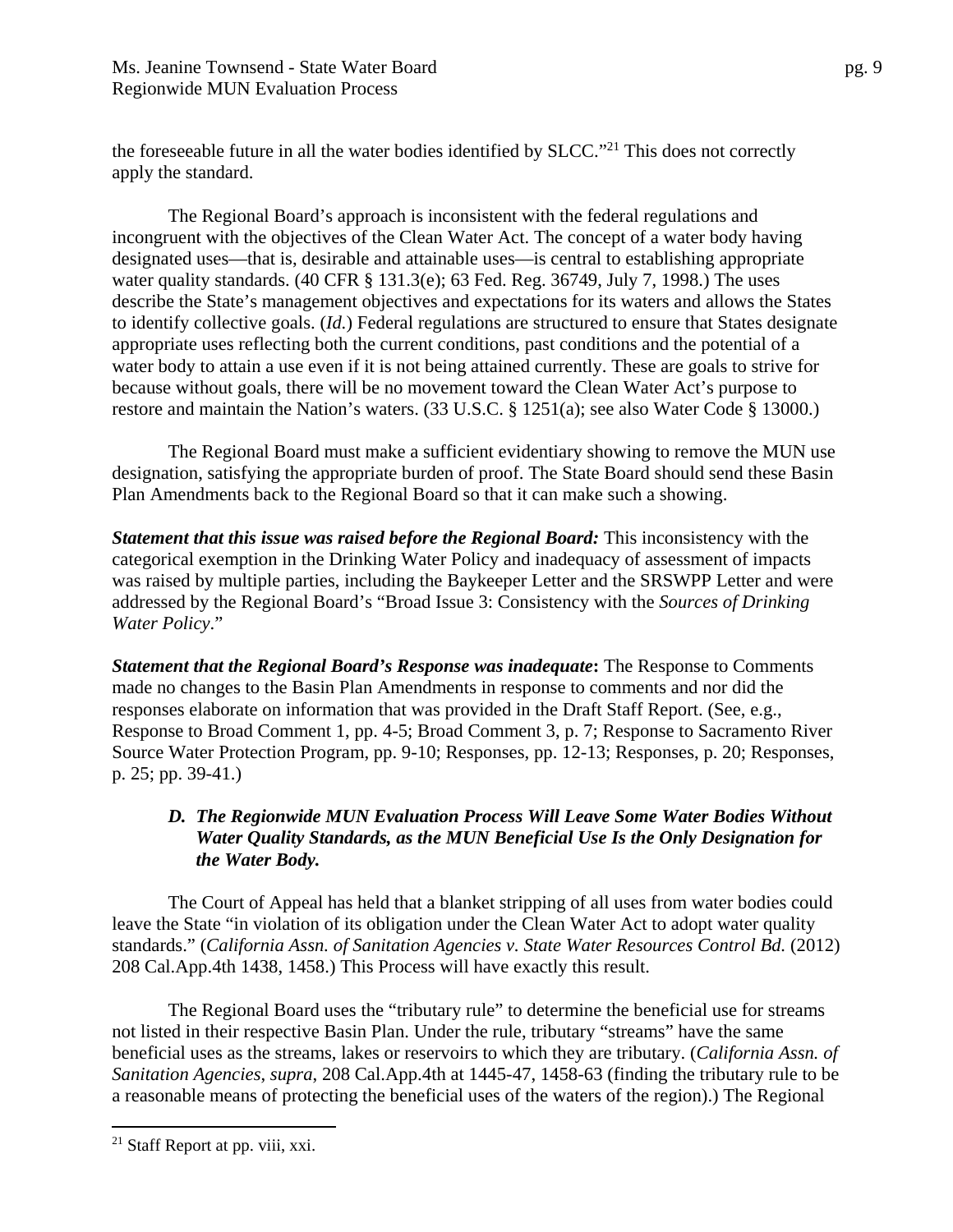the foreseeable future in all the water bodies identified by SLCC."<sup>21</sup> This does not correctly apply the standard.

The Regional Board's approach is inconsistent with the federal regulations and incongruent with the objectives of the Clean Water Act. The concept of a water body having designated uses—that is, desirable and attainable uses—is central to establishing appropriate water quality standards. (40 CFR § 131.3(e); 63 Fed. Reg. 36749, July 7, 1998.) The uses describe the State's management objectives and expectations for its waters and allows the States to identify collective goals. (*Id.*) Federal regulations are structured to ensure that States designate appropriate uses reflecting both the current conditions, past conditions and the potential of a water body to attain a use even if it is not being attained currently. These are goals to strive for because without goals, there will be no movement toward the Clean Water Act's purpose to restore and maintain the Nation's waters. (33 U.S.C. § 1251(a); see also Water Code § 13000.)

The Regional Board must make a sufficient evidentiary showing to remove the MUN use designation, satisfying the appropriate burden of proof. The State Board should send these Basin Plan Amendments back to the Regional Board so that it can make such a showing.

*Statement that this issue was raised before the Regional Board:* This inconsistency with the categorical exemption in the Drinking Water Policy and inadequacy of assessment of impacts was raised by multiple parties, including the Baykeeper Letter and the SRSWPP Letter and were addressed by the Regional Board's "Broad Issue 3: Consistency with the *Sources of Drinking Water Policy*."

*Statement that the Regional Board's Response was inadequate***:** The Response to Comments made no changes to the Basin Plan Amendments in response to comments and nor did the responses elaborate on information that was provided in the Draft Staff Report. (See, e.g., Response to Broad Comment 1, pp. 4-5; Broad Comment 3, p. 7; Response to Sacramento River Source Water Protection Program, pp. 9-10; Responses, pp. 12-13; Responses, p. 20; Responses, p. 25; pp. 39-41.)

## *D. The Regionwide MUN Evaluation Process Will Leave Some Water Bodies Without Water Quality Standards, as the MUN Beneficial Use Is the Only Designation for the Water Body.*

The Court of Appeal has held that a blanket stripping of all uses from water bodies could leave the State "in violation of its obligation under the Clean Water Act to adopt water quality standards." (*California Assn. of Sanitation Agencies v. State Water Resources Control Bd.* (2012) 208 Cal.App.4th 1438, 1458.) This Process will have exactly this result.

The Regional Board uses the "tributary rule" to determine the beneficial use for streams not listed in their respective Basin Plan. Under the rule, tributary "streams" have the same beneficial uses as the streams, lakes or reservoirs to which they are tributary. (*California Assn. of Sanitation Agencies*, *supra*, 208 Cal.App.4th at 1445-47, 1458-63 (finding the tributary rule to be a reasonable means of protecting the beneficial uses of the waters of the region).) The Regional

 $21$  Staff Report at pp. viii, xxi.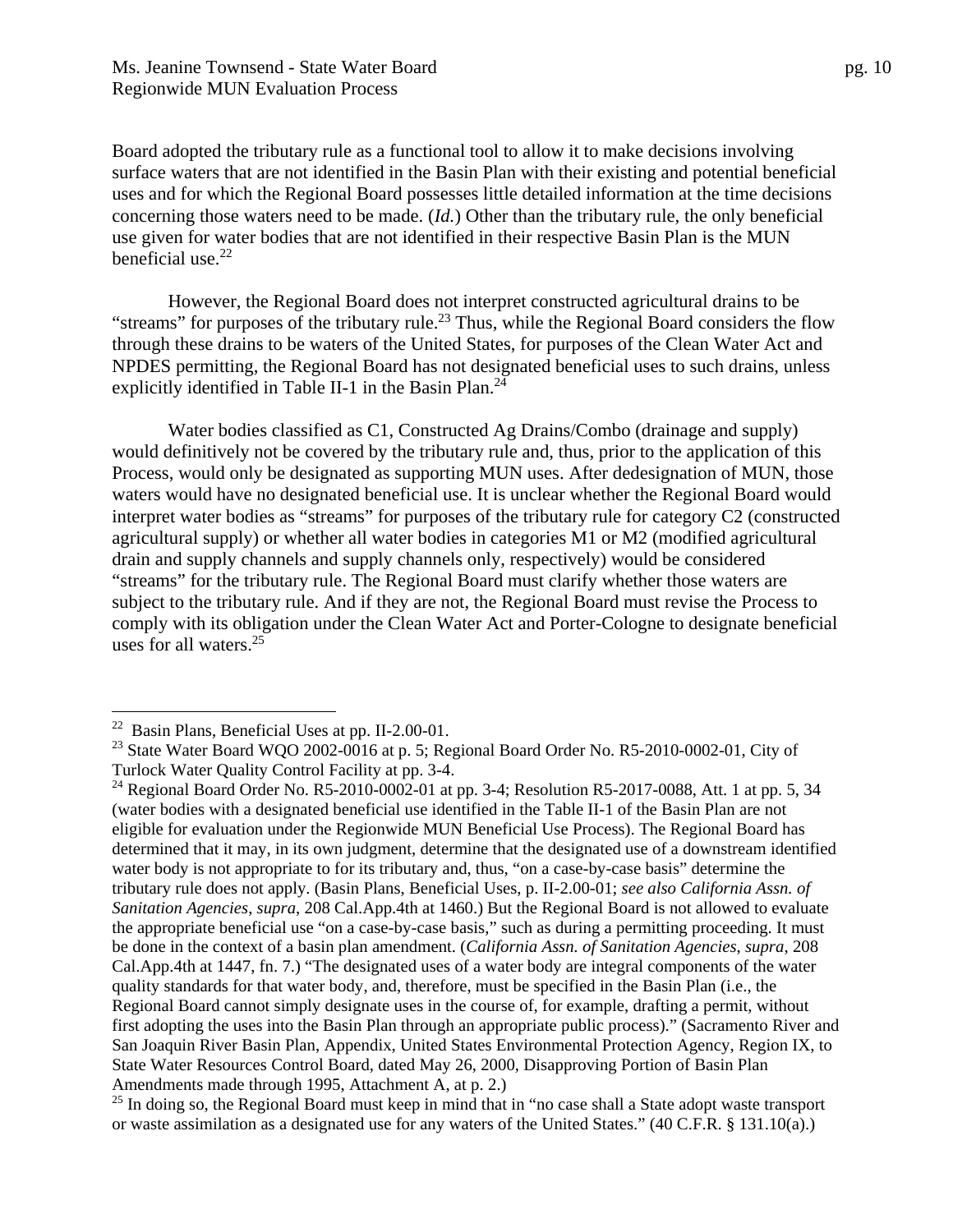Board adopted the tributary rule as a functional tool to allow it to make decisions involving surface waters that are not identified in the Basin Plan with their existing and potential beneficial uses and for which the Regional Board possesses little detailed information at the time decisions concerning those waters need to be made. (*Id.*) Other than the tributary rule, the only beneficial use given for water bodies that are not identified in their respective Basin Plan is the MUN beneficial use. $22$ 

However, the Regional Board does not interpret constructed agricultural drains to be "streams" for purposes of the tributary rule.<sup>23</sup> Thus, while the Regional Board considers the flow through these drains to be waters of the United States, for purposes of the Clean Water Act and NPDES permitting, the Regional Board has not designated beneficial uses to such drains, unless explicitly identified in Table II-1 in the Basin Plan.<sup>24</sup>

Water bodies classified as C1, Constructed Ag Drains/Combo (drainage and supply) would definitively not be covered by the tributary rule and, thus, prior to the application of this Process, would only be designated as supporting MUN uses. After dedesignation of MUN, those waters would have no designated beneficial use. It is unclear whether the Regional Board would interpret water bodies as "streams" for purposes of the tributary rule for category C2 (constructed agricultural supply) or whether all water bodies in categories M1 or M2 (modified agricultural drain and supply channels and supply channels only, respectively) would be considered "streams" for the tributary rule. The Regional Board must clarify whether those waters are subject to the tributary rule. And if they are not, the Regional Board must revise the Process to comply with its obligation under the Clean Water Act and Porter-Cologne to designate beneficial uses for all waters.25

<u>.</u>

 $22$  Basin Plans, Beneficial Uses at pp. II-2.00-01.

 $^{23}$  State Water Board WQO 2002-0016 at p. 5; Regional Board Order No. R5-2010-0002-01, City of Turlock Water Quality Control Facility at pp. 3-4.

<sup>&</sup>lt;sup>24</sup> Regional Board Order No. R5-2010-0002-01 at pp. 3-4; Resolution R5-2017-0088, Att. 1 at pp. 5, 34 (water bodies with a designated beneficial use identified in the Table II-1 of the Basin Plan are not eligible for evaluation under the Regionwide MUN Beneficial Use Process). The Regional Board has determined that it may, in its own judgment, determine that the designated use of a downstream identified water body is not appropriate to for its tributary and, thus, "on a case-by-case basis" determine the tributary rule does not apply. (Basin Plans, Beneficial Uses, p. II-2.00-01; *see also California Assn. of Sanitation Agencies*, *supra*, 208 Cal.App.4th at 1460.) But the Regional Board is not allowed to evaluate the appropriate beneficial use "on a case-by-case basis," such as during a permitting proceeding. It must be done in the context of a basin plan amendment. (*California Assn. of Sanitation Agencies*, *supra*, 208 Cal.App.4th at 1447, fn. 7.) "The designated uses of a water body are integral components of the water quality standards for that water body, and, therefore, must be specified in the Basin Plan (i.e., the Regional Board cannot simply designate uses in the course of, for example, drafting a permit, without first adopting the uses into the Basin Plan through an appropriate public process)." (Sacramento River and San Joaquin River Basin Plan, Appendix, United States Environmental Protection Agency, Region IX, to State Water Resources Control Board, dated May 26, 2000, Disapproving Portion of Basin Plan Amendments made through 1995, Attachment A, at p. 2.)

<sup>&</sup>lt;sup>25</sup> In doing so, the Regional Board must keep in mind that in "no case shall a State adopt waste transport or waste assimilation as a designated use for any waters of the United States." (40 C.F.R. § 131.10(a).)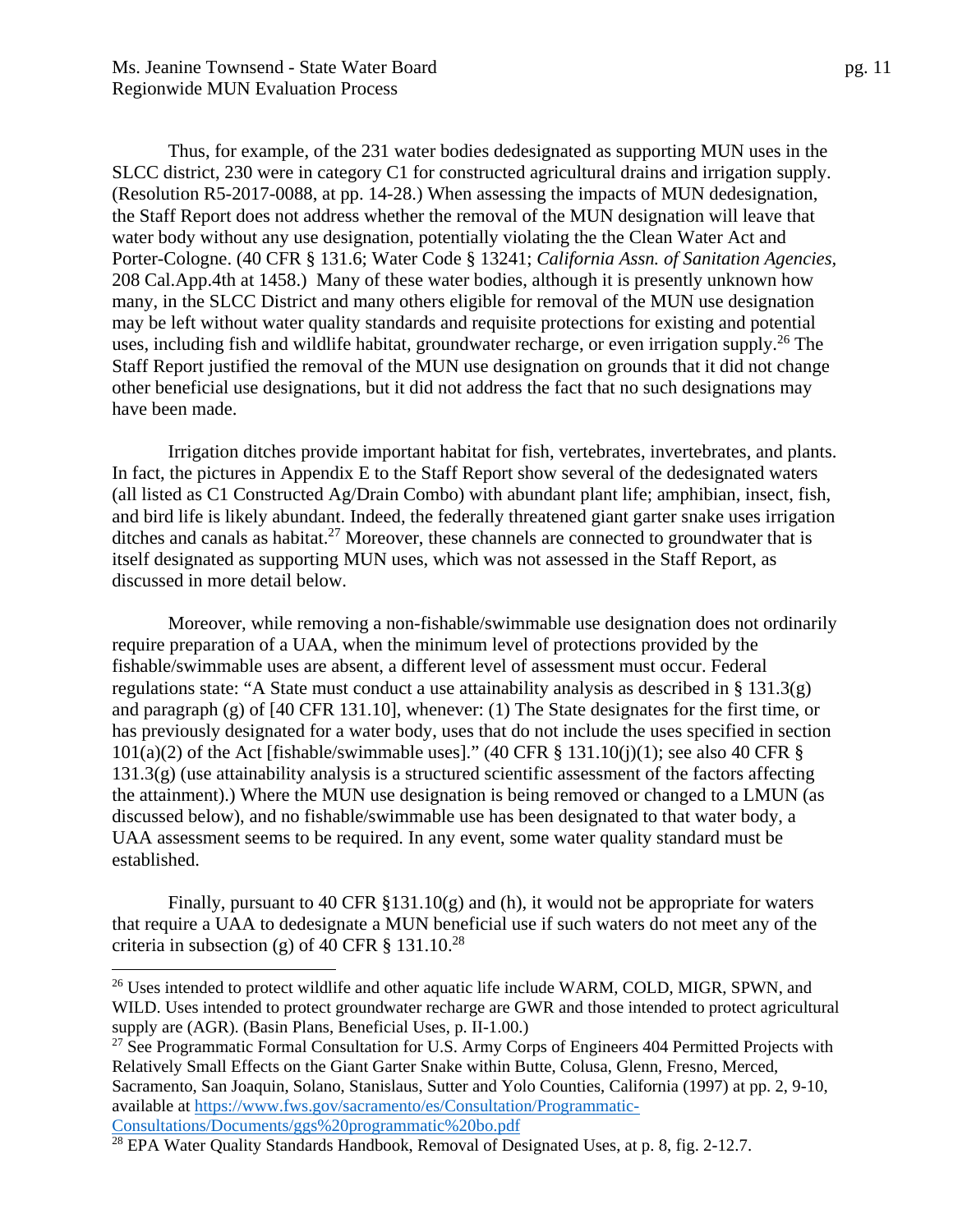$\overline{a}$ 

Thus, for example, of the 231 water bodies dedesignated as supporting MUN uses in the SLCC district, 230 were in category C1 for constructed agricultural drains and irrigation supply. (Resolution R5-2017-0088, at pp. 14-28.) When assessing the impacts of MUN dedesignation, the Staff Report does not address whether the removal of the MUN designation will leave that water body without any use designation, potentially violating the the Clean Water Act and Porter-Cologne. (40 CFR § 131.6; Water Code § 13241; *California Assn. of Sanitation Agencies,* 208 Cal.App.4th at 1458.) Many of these water bodies, although it is presently unknown how many, in the SLCC District and many others eligible for removal of the MUN use designation may be left without water quality standards and requisite protections for existing and potential uses, including fish and wildlife habitat, groundwater recharge, or even irrigation supply.<sup>26</sup> The Staff Report justified the removal of the MUN use designation on grounds that it did not change other beneficial use designations, but it did not address the fact that no such designations may have been made.

Irrigation ditches provide important habitat for fish, vertebrates, invertebrates, and plants. In fact, the pictures in Appendix E to the Staff Report show several of the dedesignated waters (all listed as C1 Constructed Ag/Drain Combo) with abundant plant life; amphibian, insect, fish, and bird life is likely abundant. Indeed, the federally threatened giant garter snake uses irrigation ditches and canals as habitat.<sup>27</sup> Moreover, these channels are connected to groundwater that is itself designated as supporting MUN uses, which was not assessed in the Staff Report, as discussed in more detail below.

 Moreover, while removing a non-fishable/swimmable use designation does not ordinarily require preparation of a UAA, when the minimum level of protections provided by the fishable/swimmable uses are absent, a different level of assessment must occur. Federal regulations state: "A State must conduct a use attainability analysis as described in § 131.3(g) and paragraph (g) of [40 CFR 131.10], whenever: (1) The State designates for the first time, or has previously designated for a water body, uses that do not include the uses specified in section  $101(a)(2)$  of the Act [fishable/swimmable uses]." (40 CFR § 131.10(j)(1); see also 40 CFR § 131.3(g) (use attainability analysis is a structured scientific assessment of the factors affecting the attainment).) Where the MUN use designation is being removed or changed to a LMUN (as discussed below), and no fishable/swimmable use has been designated to that water body, a UAA assessment seems to be required. In any event, some water quality standard must be established.

Finally, pursuant to 40 CFR §131.10(g) and (h), it would not be appropriate for waters that require a UAA to dedesignate a MUN beneficial use if such waters do not meet any of the criteria in subsection (g) of 40 CFR  $\S$  131.10.<sup>28</sup>

<sup>&</sup>lt;sup>26</sup> Uses intended to protect wildlife and other aquatic life include WARM, COLD, MIGR, SPWN, and WILD. Uses intended to protect groundwater recharge are GWR and those intended to protect agricultural supply are (AGR). (Basin Plans, Beneficial Uses, p. II-1.00.)

<sup>&</sup>lt;sup>27</sup> See Programmatic Formal Consultation for U.S. Army Corps of Engineers 404 Permitted Projects with Relatively Small Effects on the Giant Garter Snake within Butte, Colusa, Glenn, Fresno, Merced, Sacramento, San Joaquin, Solano, Stanislaus, Sutter and Yolo Counties, California (1997) at pp. 2, 9-10, available at https://www.fws.gov/sacramento/es/Consultation/Programmatic-

Consultations/Documents/ggs%20programmatic%20bo.pdf 28 EPA Water Quality Standards Handbook, Removal of Designated Uses, at p. 8, fig. 2-12.7.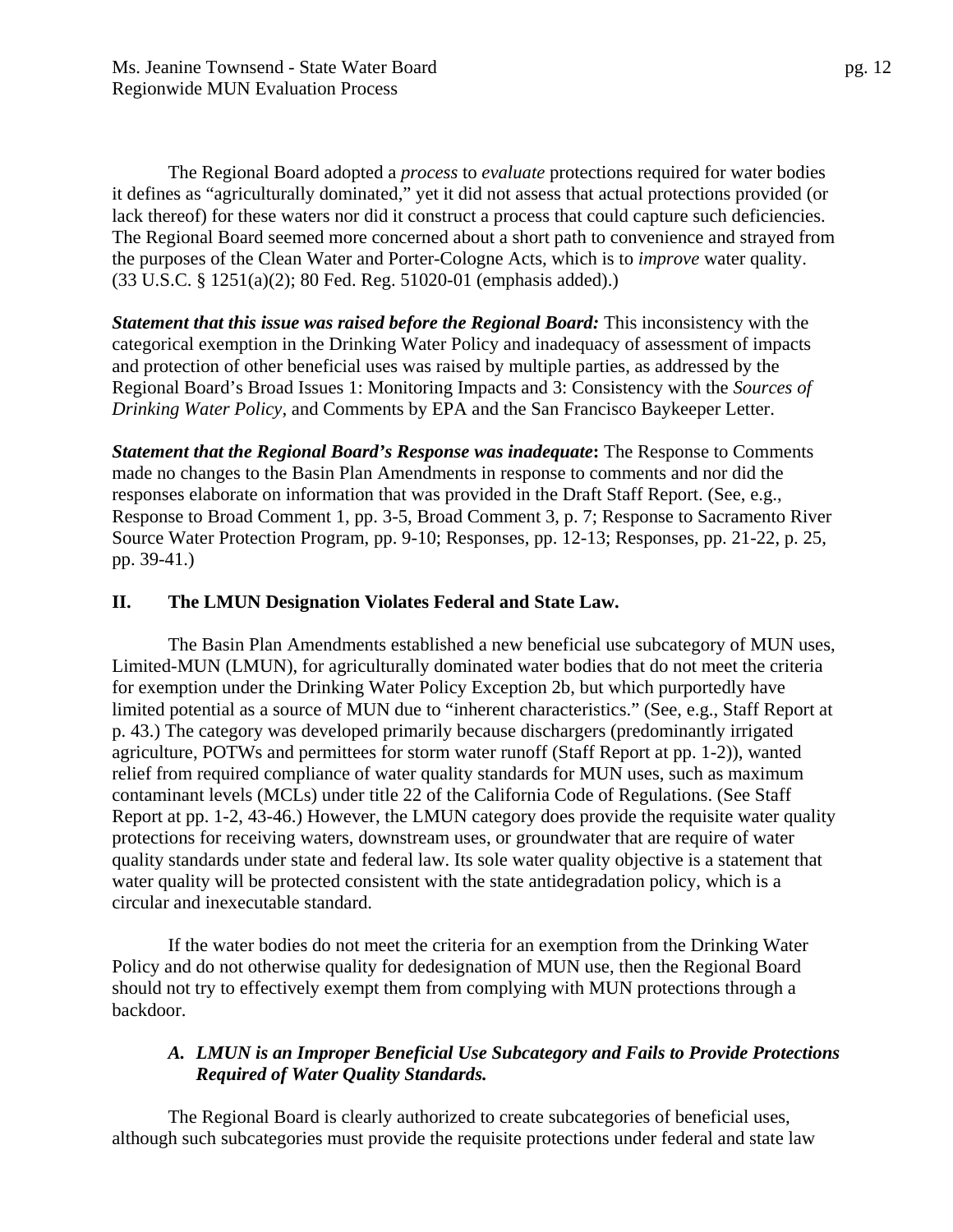The Regional Board adopted a *process* to *evaluate* protections required for water bodies it defines as "agriculturally dominated," yet it did not assess that actual protections provided (or lack thereof) for these waters nor did it construct a process that could capture such deficiencies. The Regional Board seemed more concerned about a short path to convenience and strayed from the purposes of the Clean Water and Porter-Cologne Acts, which is to *improve* water quality. (33 U.S.C. § 1251(a)(2); 80 Fed. Reg. 51020-01 (emphasis added).)

*Statement that this issue was raised before the Regional Board:* This inconsistency with the categorical exemption in the Drinking Water Policy and inadequacy of assessment of impacts and protection of other beneficial uses was raised by multiple parties, as addressed by the Regional Board's Broad Issues 1: Monitoring Impacts and 3: Consistency with the *Sources of Drinking Water Policy,* and Comments by EPA and the San Francisco Baykeeper Letter.

*Statement that the Regional Board's Response was inadequate***:** The Response to Comments made no changes to the Basin Plan Amendments in response to comments and nor did the responses elaborate on information that was provided in the Draft Staff Report. (See, e.g., Response to Broad Comment 1, pp. 3-5, Broad Comment 3, p. 7; Response to Sacramento River Source Water Protection Program, pp. 9-10; Responses, pp. 12-13; Responses, pp. 21-22, p. 25, pp. 39-41.)

#### **II. The LMUN Designation Violates Federal and State Law.**

The Basin Plan Amendments established a new beneficial use subcategory of MUN uses, Limited-MUN (LMUN), for agriculturally dominated water bodies that do not meet the criteria for exemption under the Drinking Water Policy Exception 2b, but which purportedly have limited potential as a source of MUN due to "inherent characteristics." (See, e.g., Staff Report at p. 43.) The category was developed primarily because dischargers (predominantly irrigated agriculture, POTWs and permittees for storm water runoff (Staff Report at pp. 1-2)), wanted relief from required compliance of water quality standards for MUN uses, such as maximum contaminant levels (MCLs) under title 22 of the California Code of Regulations. (See Staff Report at pp. 1-2, 43-46.) However, the LMUN category does provide the requisite water quality protections for receiving waters, downstream uses, or groundwater that are require of water quality standards under state and federal law. Its sole water quality objective is a statement that water quality will be protected consistent with the state antidegradation policy, which is a circular and inexecutable standard.

If the water bodies do not meet the criteria for an exemption from the Drinking Water Policy and do not otherwise quality for dedesignation of MUN use, then the Regional Board should not try to effectively exempt them from complying with MUN protections through a backdoor.

## *A. LMUN is an Improper Beneficial Use Subcategory and Fails to Provide Protections Required of Water Quality Standards.*

The Regional Board is clearly authorized to create subcategories of beneficial uses, although such subcategories must provide the requisite protections under federal and state law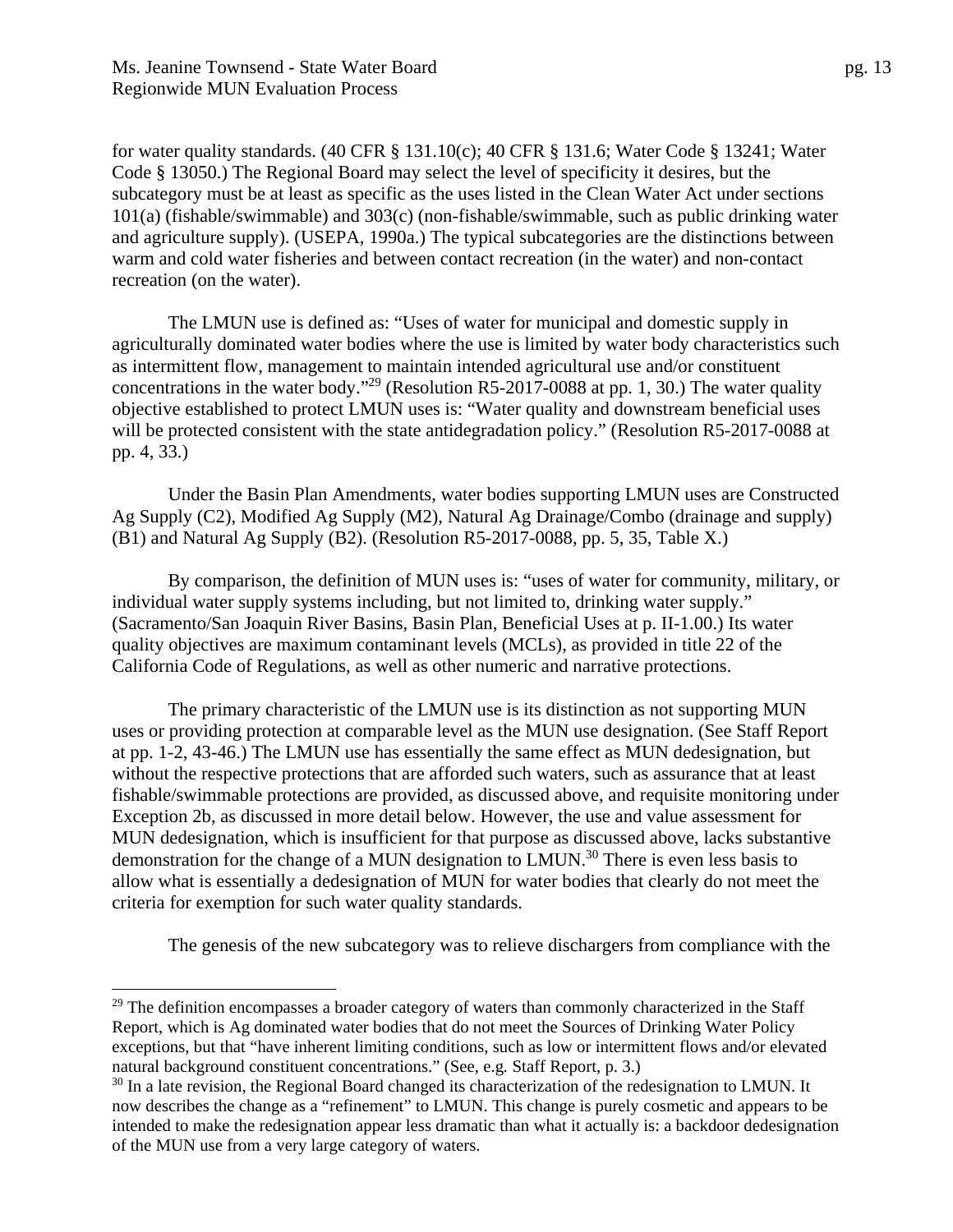$\overline{a}$ 

for water quality standards. (40 CFR § 131.10(c); 40 CFR § 131.6; Water Code § 13241; Water Code § 13050.) The Regional Board may select the level of specificity it desires, but the subcategory must be at least as specific as the uses listed in the Clean Water Act under sections 101(a) (fishable/swimmable) and 303(c) (non-fishable/swimmable, such as public drinking water and agriculture supply). (USEPA, 1990a.) The typical subcategories are the distinctions between warm and cold water fisheries and between contact recreation (in the water) and non-contact recreation (on the water).

The LMUN use is defined as: "Uses of water for municipal and domestic supply in agriculturally dominated water bodies where the use is limited by water body characteristics such as intermittent flow, management to maintain intended agricultural use and/or constituent concentrations in the water body."<sup>29</sup> (Resolution R5-2017-0088 at pp. 1, 30.) The water quality objective established to protect LMUN uses is: "Water quality and downstream beneficial uses will be protected consistent with the state antidegradation policy." (Resolution R5-2017-0088 at pp. 4, 33.)

Under the Basin Plan Amendments, water bodies supporting LMUN uses are Constructed Ag Supply (C2), Modified Ag Supply (M2), Natural Ag Drainage/Combo (drainage and supply) (B1) and Natural Ag Supply (B2). (Resolution R5-2017-0088, pp. 5, 35, Table X.)

By comparison, the definition of MUN uses is: "uses of water for community, military, or individual water supply systems including, but not limited to, drinking water supply." (Sacramento/San Joaquin River Basins, Basin Plan, Beneficial Uses at p. II-1.00.) Its water quality objectives are maximum contaminant levels (MCLs), as provided in title 22 of the California Code of Regulations, as well as other numeric and narrative protections.

The primary characteristic of the LMUN use is its distinction as not supporting MUN uses or providing protection at comparable level as the MUN use designation. (See Staff Report at pp. 1-2, 43-46.) The LMUN use has essentially the same effect as MUN dedesignation, but without the respective protections that are afforded such waters, such as assurance that at least fishable/swimmable protections are provided, as discussed above, and requisite monitoring under Exception 2b, as discussed in more detail below. However, the use and value assessment for MUN dedesignation, which is insufficient for that purpose as discussed above, lacks substantive demonstration for the change of a MUN designation to LMUN.30 There is even less basis to allow what is essentially a dedesignation of MUN for water bodies that clearly do not meet the criteria for exemption for such water quality standards.

The genesis of the new subcategory was to relieve dischargers from compliance with the

<sup>&</sup>lt;sup>29</sup> The definition encompasses a broader category of waters than commonly characterized in the Staff Report, which is Ag dominated water bodies that do not meet the Sources of Drinking Water Policy exceptions, but that "have inherent limiting conditions, such as low or intermittent flows and/or elevated natural background constituent concentrations." (See, e.g*.* Staff Report, p. 3.)

 $30$  In a late revision, the Regional Board changed its characterization of the redesignation to LMUN. It now describes the change as a "refinement" to LMUN. This change is purely cosmetic and appears to be intended to make the redesignation appear less dramatic than what it actually is: a backdoor dedesignation of the MUN use from a very large category of waters.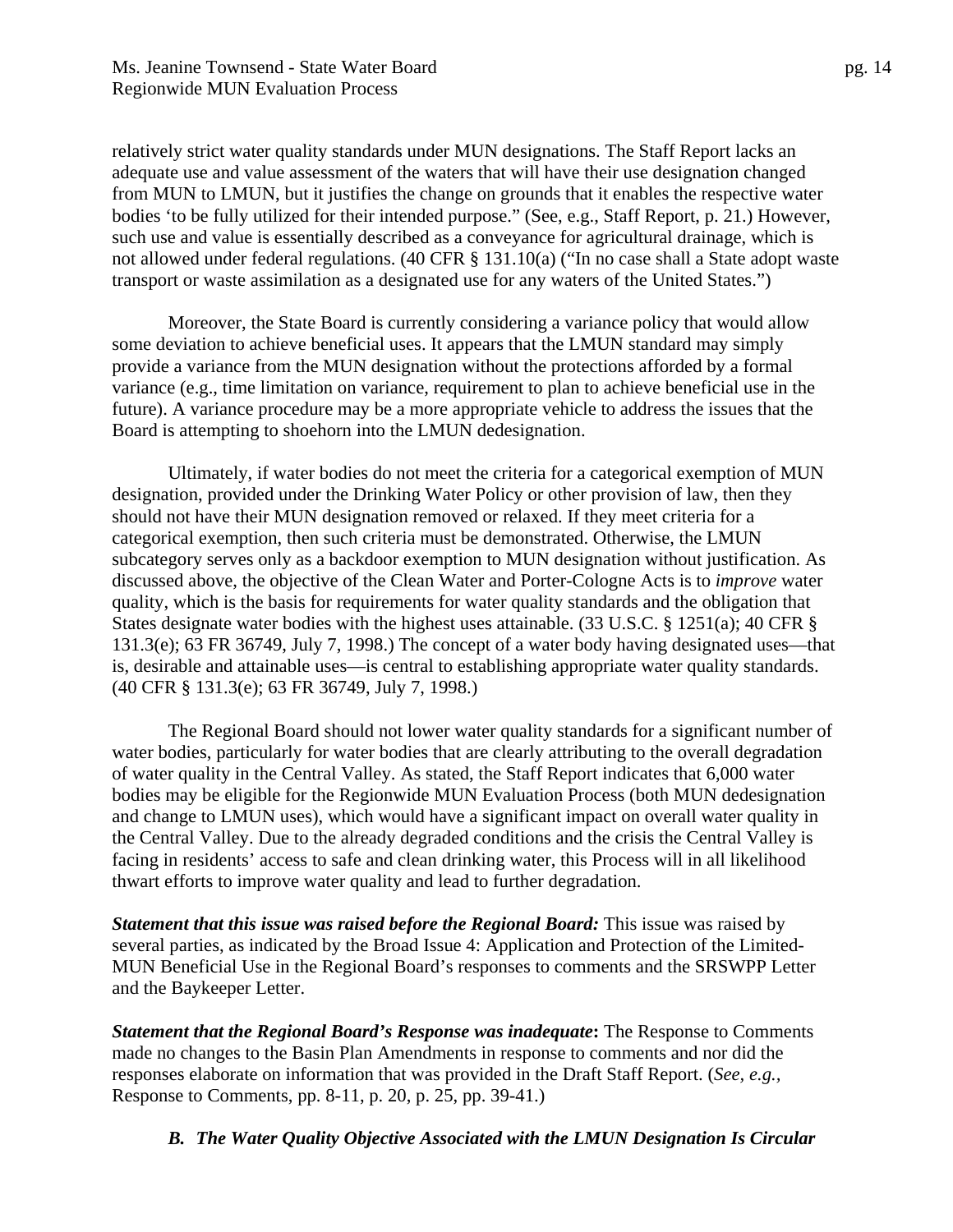relatively strict water quality standards under MUN designations. The Staff Report lacks an adequate use and value assessment of the waters that will have their use designation changed from MUN to LMUN, but it justifies the change on grounds that it enables the respective water bodies 'to be fully utilized for their intended purpose." (See, e.g., Staff Report, p. 21.) However, such use and value is essentially described as a conveyance for agricultural drainage, which is not allowed under federal regulations. (40 CFR § 131.10(a) ("In no case shall a State adopt waste transport or waste assimilation as a designated use for any waters of the United States.")

Moreover, the State Board is currently considering a variance policy that would allow some deviation to achieve beneficial uses. It appears that the LMUN standard may simply provide a variance from the MUN designation without the protections afforded by a formal variance (e.g., time limitation on variance, requirement to plan to achieve beneficial use in the future). A variance procedure may be a more appropriate vehicle to address the issues that the Board is attempting to shoehorn into the LMUN dedesignation.

Ultimately, if water bodies do not meet the criteria for a categorical exemption of MUN designation, provided under the Drinking Water Policy or other provision of law, then they should not have their MUN designation removed or relaxed. If they meet criteria for a categorical exemption, then such criteria must be demonstrated. Otherwise, the LMUN subcategory serves only as a backdoor exemption to MUN designation without justification. As discussed above, the objective of the Clean Water and Porter-Cologne Acts is to *improve* water quality, which is the basis for requirements for water quality standards and the obligation that States designate water bodies with the highest uses attainable. (33 U.S.C. § 1251(a); 40 CFR § 131.3(e); 63 FR 36749, July 7, 1998.) The concept of a water body having designated uses—that is, desirable and attainable uses—is central to establishing appropriate water quality standards. (40 CFR § 131.3(e); 63 FR 36749, July 7, 1998.)

The Regional Board should not lower water quality standards for a significant number of water bodies, particularly for water bodies that are clearly attributing to the overall degradation of water quality in the Central Valley. As stated, the Staff Report indicates that 6,000 water bodies may be eligible for the Regionwide MUN Evaluation Process (both MUN dedesignation and change to LMUN uses), which would have a significant impact on overall water quality in the Central Valley. Due to the already degraded conditions and the crisis the Central Valley is facing in residents' access to safe and clean drinking water, this Process will in all likelihood thwart efforts to improve water quality and lead to further degradation.

*Statement that this issue was raised before the Regional Board:* This issue was raised by several parties, as indicated by the Broad Issue 4: Application and Protection of the Limited-MUN Beneficial Use in the Regional Board's responses to comments and the SRSWPP Letter and the Baykeeper Letter.

*Statement that the Regional Board's Response was inadequate***:** The Response to Comments made no changes to the Basin Plan Amendments in response to comments and nor did the responses elaborate on information that was provided in the Draft Staff Report. (*See, e.g.,* Response to Comments, pp. 8-11, p. 20, p. 25, pp. 39-41.)

*B. The Water Quality Objective Associated with the LMUN Designation Is Circular*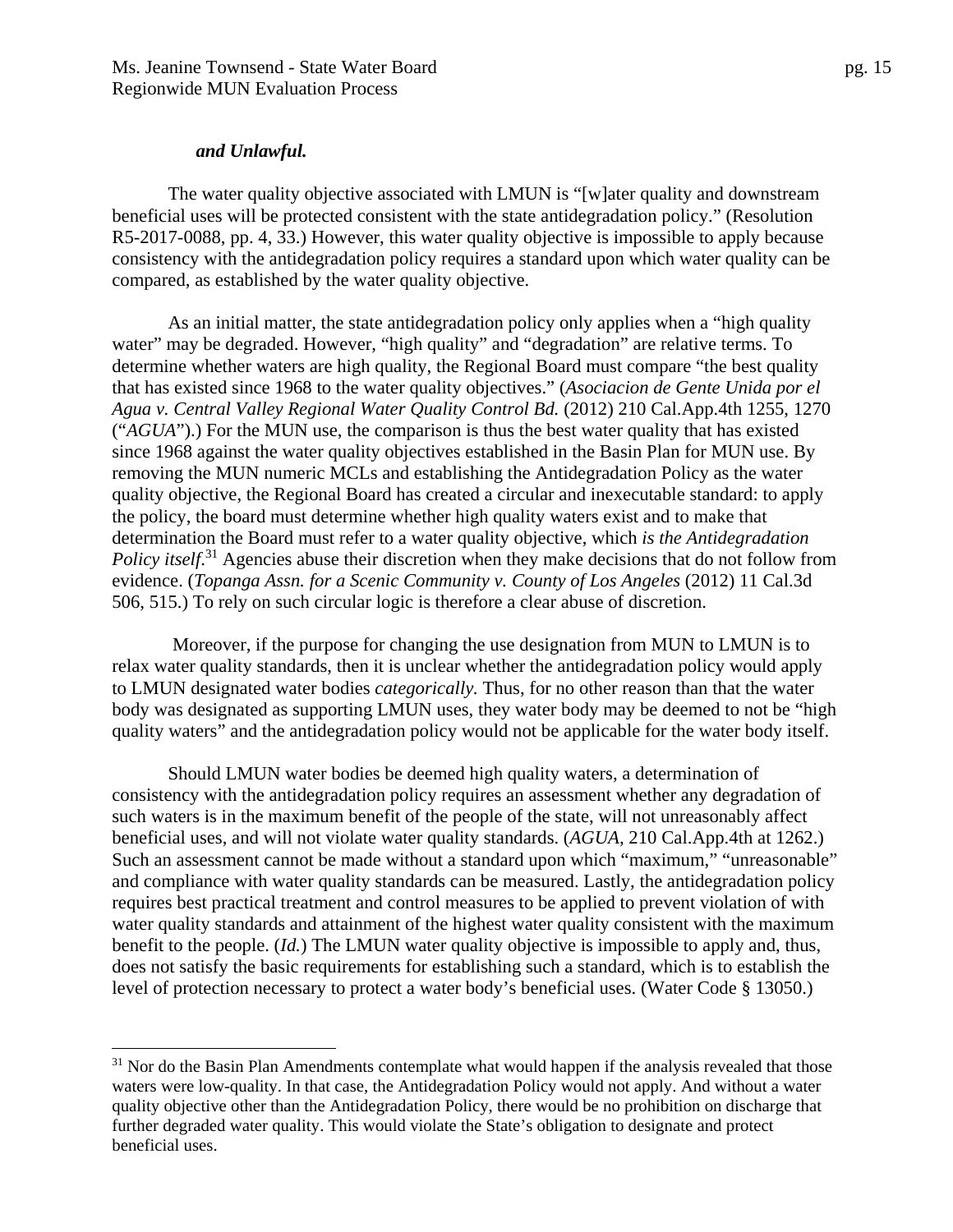#### *and Unlawful.*

 $\overline{a}$ 

The water quality objective associated with LMUN is "[w]ater quality and downstream beneficial uses will be protected consistent with the state antidegradation policy." (Resolution R5-2017-0088, pp. 4, 33.) However, this water quality objective is impossible to apply because consistency with the antidegradation policy requires a standard upon which water quality can be compared, as established by the water quality objective.

As an initial matter, the state antidegradation policy only applies when a "high quality water" may be degraded. However, "high quality" and "degradation" are relative terms. To determine whether waters are high quality, the Regional Board must compare "the best quality that has existed since 1968 to the water quality objectives." (*Asociacion de Gente Unida por el Agua v. Central Valley Regional Water Quality Control Bd.* (2012) 210 Cal.App.4th 1255, 1270 ("*AGUA*").) For the MUN use, the comparison is thus the best water quality that has existed since 1968 against the water quality objectives established in the Basin Plan for MUN use. By removing the MUN numeric MCLs and establishing the Antidegradation Policy as the water quality objective, the Regional Board has created a circular and inexecutable standard: to apply the policy, the board must determine whether high quality waters exist and to make that determination the Board must refer to a water quality objective, which *is the Antidegradation*  Policy itself.<sup>31</sup> Agencies abuse their discretion when they make decisions that do not follow from evidence. (*Topanga Assn. for a Scenic Community v. County of Los Angeles* (2012) 11 Cal.3d 506, 515.) To rely on such circular logic is therefore a clear abuse of discretion.

 Moreover, if the purpose for changing the use designation from MUN to LMUN is to relax water quality standards, then it is unclear whether the antidegradation policy would apply to LMUN designated water bodies *categorically.* Thus, for no other reason than that the water body was designated as supporting LMUN uses, they water body may be deemed to not be "high quality waters" and the antidegradation policy would not be applicable for the water body itself.

Should LMUN water bodies be deemed high quality waters, a determination of consistency with the antidegradation policy requires an assessment whether any degradation of such waters is in the maximum benefit of the people of the state, will not unreasonably affect beneficial uses, and will not violate water quality standards. (*AGUA*, 210 Cal.App.4th at 1262.) Such an assessment cannot be made without a standard upon which "maximum," "unreasonable" and compliance with water quality standards can be measured. Lastly, the antidegradation policy requires best practical treatment and control measures to be applied to prevent violation of with water quality standards and attainment of the highest water quality consistent with the maximum benefit to the people. (*Id.*) The LMUN water quality objective is impossible to apply and, thus, does not satisfy the basic requirements for establishing such a standard, which is to establish the level of protection necessary to protect a water body's beneficial uses. (Water Code § 13050.)

 $31$  Nor do the Basin Plan Amendments contemplate what would happen if the analysis revealed that those waters were low-quality. In that case, the Antidegradation Policy would not apply. And without a water quality objective other than the Antidegradation Policy, there would be no prohibition on discharge that further degraded water quality. This would violate the State's obligation to designate and protect beneficial uses.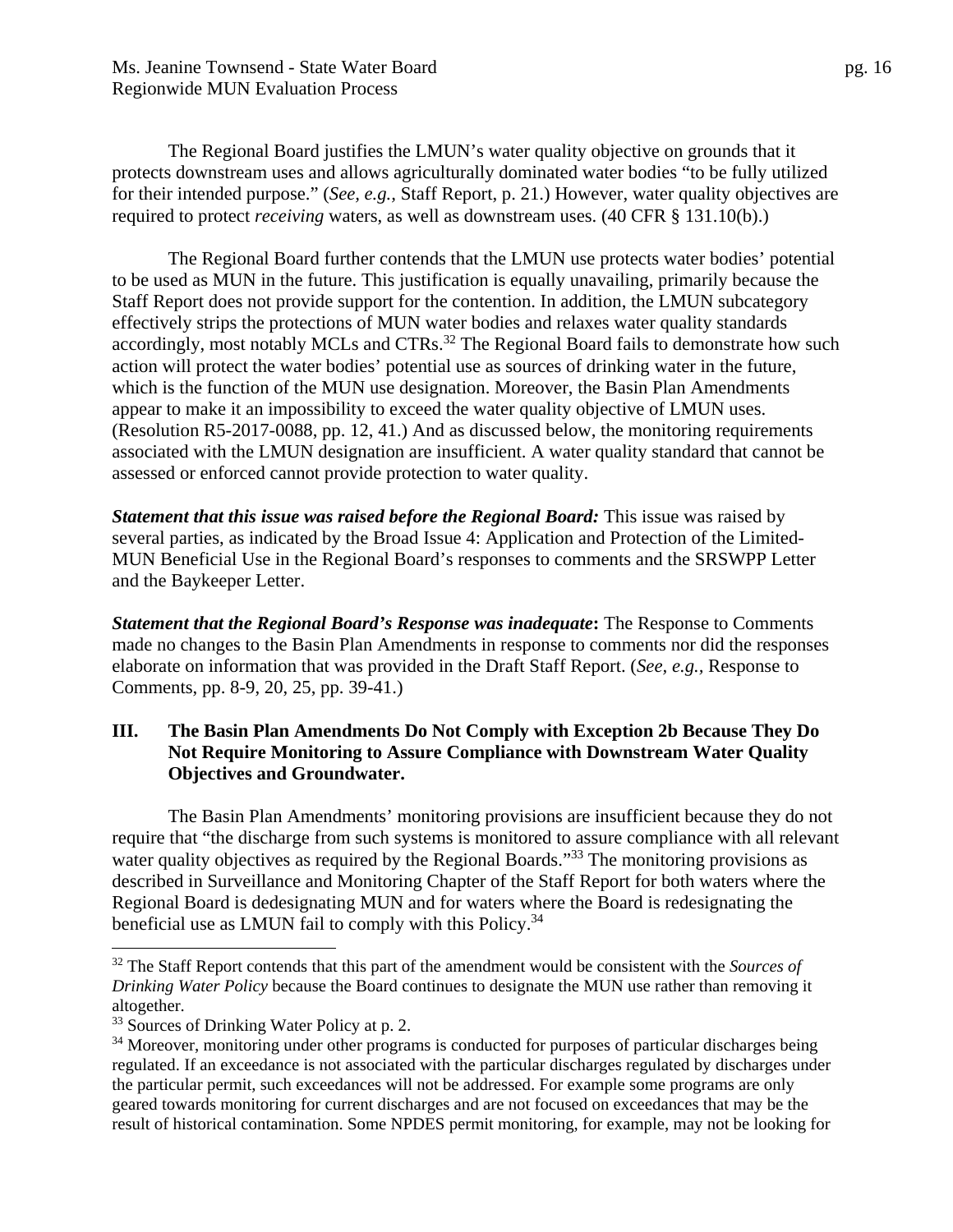The Regional Board justifies the LMUN's water quality objective on grounds that it protects downstream uses and allows agriculturally dominated water bodies "to be fully utilized for their intended purpose." (*See, e.g.,* Staff Report, p. 21.) However, water quality objectives are required to protect *receiving* waters, as well as downstream uses. (40 CFR § 131.10(b).)

The Regional Board further contends that the LMUN use protects water bodies' potential to be used as MUN in the future. This justification is equally unavailing, primarily because the Staff Report does not provide support for the contention. In addition, the LMUN subcategory effectively strips the protections of MUN water bodies and relaxes water quality standards accordingly, most notably MCLs and CTRs.<sup>32</sup> The Regional Board fails to demonstrate how such action will protect the water bodies' potential use as sources of drinking water in the future, which is the function of the MUN use designation. Moreover, the Basin Plan Amendments appear to make it an impossibility to exceed the water quality objective of LMUN uses. (Resolution R5-2017-0088, pp. 12, 41.) And as discussed below, the monitoring requirements associated with the LMUN designation are insufficient. A water quality standard that cannot be assessed or enforced cannot provide protection to water quality.

*Statement that this issue was raised before the Regional Board:* This issue was raised by several parties, as indicated by the Broad Issue 4: Application and Protection of the Limited-MUN Beneficial Use in the Regional Board's responses to comments and the SRSWPP Letter and the Baykeeper Letter.

*Statement that the Regional Board's Response was inadequate***:** The Response to Comments made no changes to the Basin Plan Amendments in response to comments nor did the responses elaborate on information that was provided in the Draft Staff Report. (*See, e.g.,* Response to Comments, pp. 8-9, 20, 25, pp. 39-41.)

#### **III. The Basin Plan Amendments Do Not Comply with Exception 2b Because They Do Not Require Monitoring to Assure Compliance with Downstream Water Quality Objectives and Groundwater.**

The Basin Plan Amendments' monitoring provisions are insufficient because they do not require that "the discharge from such systems is monitored to assure compliance with all relevant water quality objectives as required by the Regional Boards."<sup>33</sup> The monitoring provisions as described in Surveillance and Monitoring Chapter of the Staff Report for both waters where the Regional Board is dedesignating MUN and for waters where the Board is redesignating the beneficial use as LMUN fail to comply with this Policy.<sup>34</sup>

<u>.</u>

<sup>32</sup> The Staff Report contends that this part of the amendment would be consistent with the *Sources of Drinking Water Policy* because the Board continues to designate the MUN use rather than removing it altogether.

<sup>&</sup>lt;sup>33</sup> Sources of Drinking Water Policy at p. 2.

<sup>&</sup>lt;sup>34</sup> Moreover, monitoring under other programs is conducted for purposes of particular discharges being regulated. If an exceedance is not associated with the particular discharges regulated by discharges under the particular permit, such exceedances will not be addressed. For example some programs are only geared towards monitoring for current discharges and are not focused on exceedances that may be the result of historical contamination. Some NPDES permit monitoring, for example, may not be looking for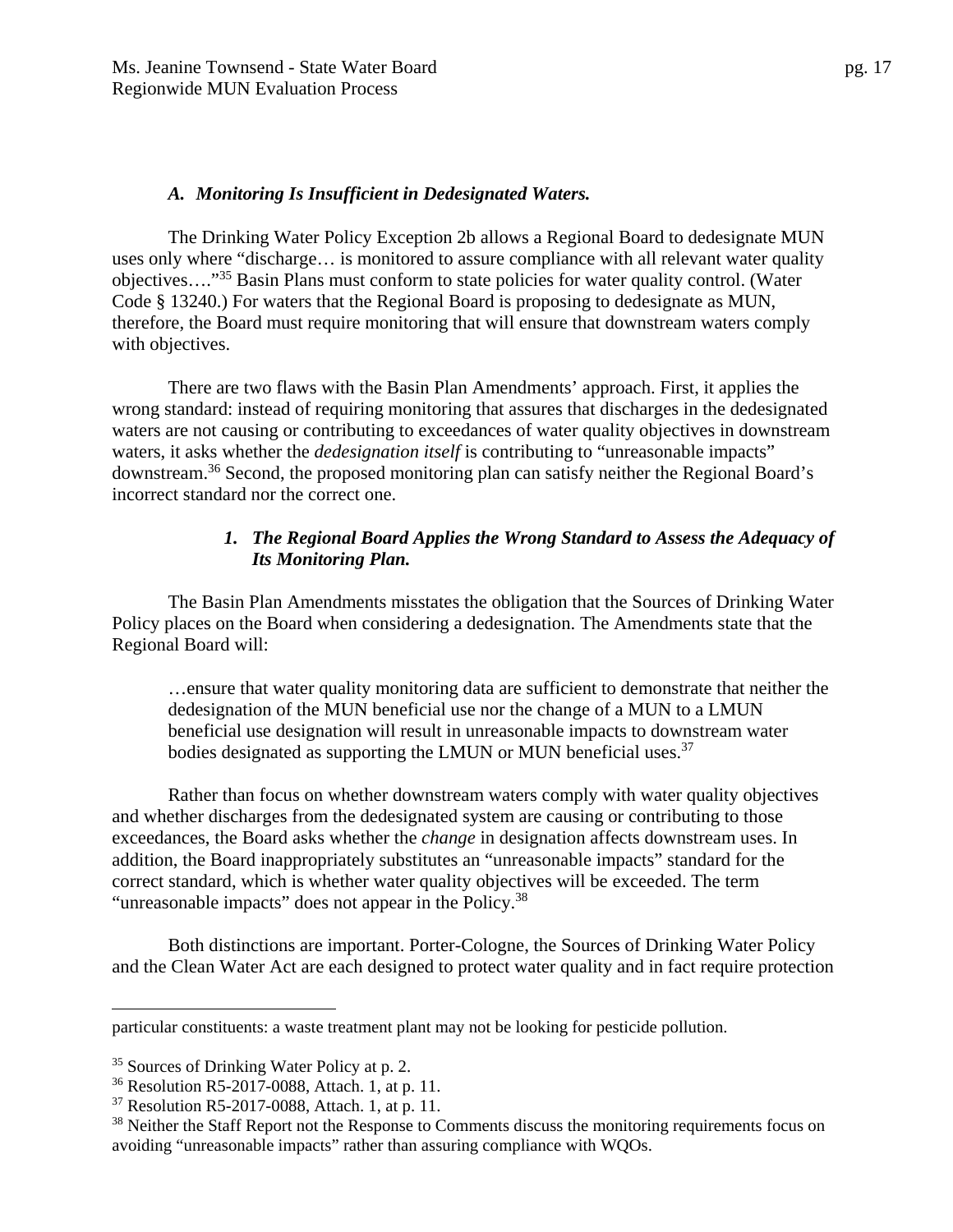#### *A. Monitoring Is Insufficient in Dedesignated Waters.*

The Drinking Water Policy Exception 2b allows a Regional Board to dedesignate MUN uses only where "discharge… is monitored to assure compliance with all relevant water quality objectives…."35 Basin Plans must conform to state policies for water quality control. (Water Code § 13240.) For waters that the Regional Board is proposing to dedesignate as MUN, therefore, the Board must require monitoring that will ensure that downstream waters comply with objectives.

There are two flaws with the Basin Plan Amendments' approach. First, it applies the wrong standard: instead of requiring monitoring that assures that discharges in the dedesignated waters are not causing or contributing to exceedances of water quality objectives in downstream waters, it asks whether the *dedesignation itself* is contributing to "unreasonable impacts" downstream.36 Second, the proposed monitoring plan can satisfy neither the Regional Board's incorrect standard nor the correct one.

#### *1. The Regional Board Applies the Wrong Standard to Assess the Adequacy of Its Monitoring Plan.*

The Basin Plan Amendments misstates the obligation that the Sources of Drinking Water Policy places on the Board when considering a dedesignation. The Amendments state that the Regional Board will:

…ensure that water quality monitoring data are sufficient to demonstrate that neither the dedesignation of the MUN beneficial use nor the change of a MUN to a LMUN beneficial use designation will result in unreasonable impacts to downstream water bodies designated as supporting the LMUN or MUN beneficial uses. $37$ 

Rather than focus on whether downstream waters comply with water quality objectives and whether discharges from the dedesignated system are causing or contributing to those exceedances, the Board asks whether the *change* in designation affects downstream uses. In addition, the Board inappropriately substitutes an "unreasonable impacts" standard for the correct standard, which is whether water quality objectives will be exceeded. The term "unreasonable impacts" does not appear in the Policy.<sup>38</sup>

Both distinctions are important. Porter-Cologne, the Sources of Drinking Water Policy and the Clean Water Act are each designed to protect water quality and in fact require protection

particular constituents: a waste treatment plant may not be looking for pesticide pollution.

<sup>&</sup>lt;sup>35</sup> Sources of Drinking Water Policy at p. 2.

<sup>36</sup> Resolution R5-2017-0088, Attach. 1, at p. 11.

<sup>37</sup> Resolution R5-2017-0088, Attach. 1, at p. 11.

<sup>&</sup>lt;sup>38</sup> Neither the Staff Report not the Response to Comments discuss the monitoring requirements focus on avoiding "unreasonable impacts" rather than assuring compliance with WQOs.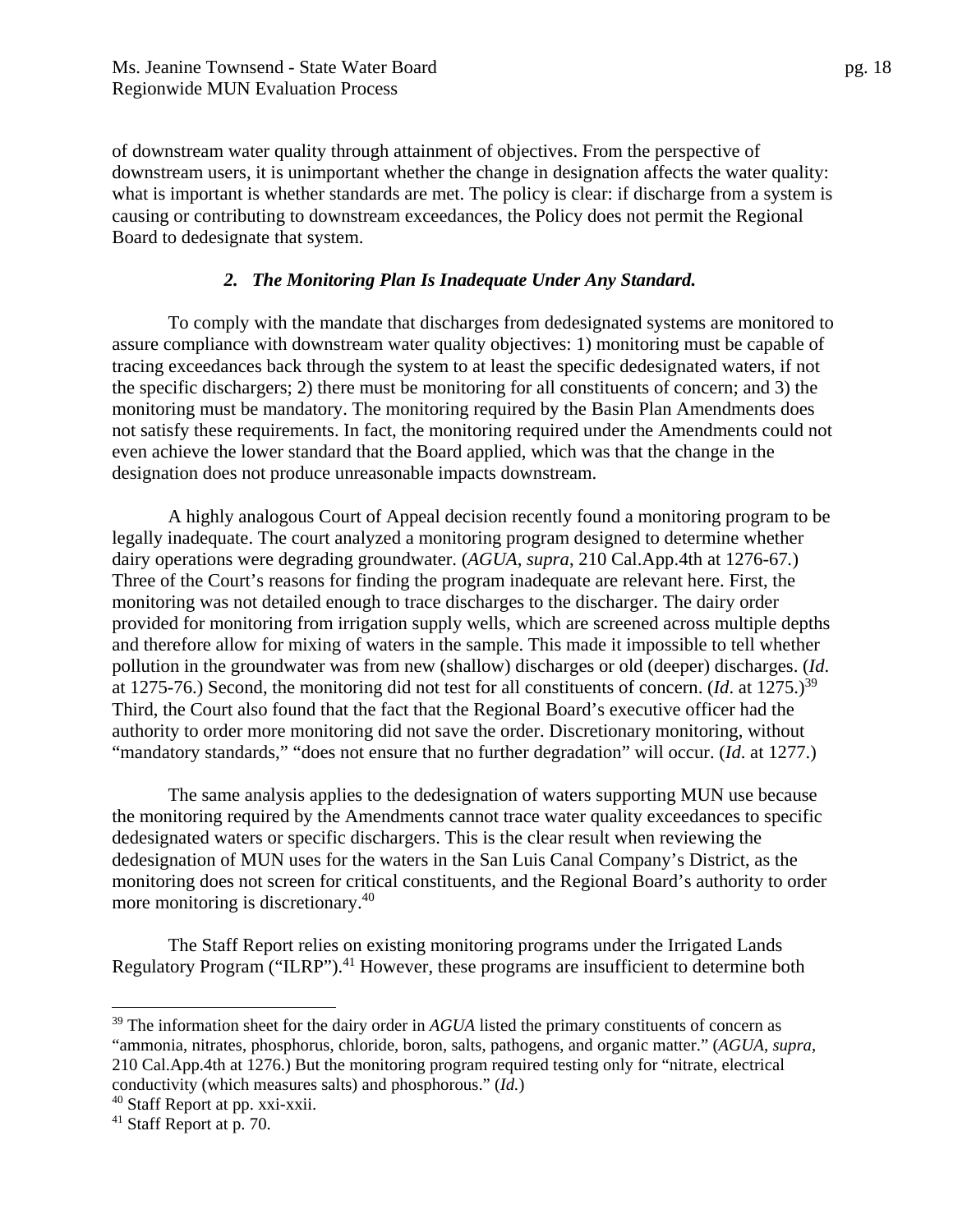of downstream water quality through attainment of objectives. From the perspective of downstream users, it is unimportant whether the change in designation affects the water quality: what is important is whether standards are met. The policy is clear: if discharge from a system is causing or contributing to downstream exceedances, the Policy does not permit the Regional Board to dedesignate that system.

#### *2. The Monitoring Plan Is Inadequate Under Any Standard.*

To comply with the mandate that discharges from dedesignated systems are monitored to assure compliance with downstream water quality objectives: 1) monitoring must be capable of tracing exceedances back through the system to at least the specific dedesignated waters, if not the specific dischargers; 2) there must be monitoring for all constituents of concern; and 3) the monitoring must be mandatory. The monitoring required by the Basin Plan Amendments does not satisfy these requirements. In fact, the monitoring required under the Amendments could not even achieve the lower standard that the Board applied, which was that the change in the designation does not produce unreasonable impacts downstream.

A highly analogous Court of Appeal decision recently found a monitoring program to be legally inadequate. The court analyzed a monitoring program designed to determine whether dairy operations were degrading groundwater. (*AGUA*, *supra*, 210 Cal.App.4th at 1276-67*.*) Three of the Court's reasons for finding the program inadequate are relevant here. First, the monitoring was not detailed enough to trace discharges to the discharger. The dairy order provided for monitoring from irrigation supply wells, which are screened across multiple depths and therefore allow for mixing of waters in the sample. This made it impossible to tell whether pollution in the groundwater was from new (shallow) discharges or old (deeper) discharges. (*Id*. at 1275-76.) Second, the monitoring did not test for all constituents of concern. (*Id.* at 1275.)<sup>39</sup> Third, the Court also found that the fact that the Regional Board's executive officer had the authority to order more monitoring did not save the order. Discretionary monitoring, without "mandatory standards," "does not ensure that no further degradation" will occur. (*Id*. at 1277.)

The same analysis applies to the dedesignation of waters supporting MUN use because the monitoring required by the Amendments cannot trace water quality exceedances to specific dedesignated waters or specific dischargers. This is the clear result when reviewing the dedesignation of MUN uses for the waters in the San Luis Canal Company's District, as the monitoring does not screen for critical constituents, and the Regional Board's authority to order more monitoring is discretionary.<sup>40</sup>

The Staff Report relies on existing monitoring programs under the Irrigated Lands Regulatory Program ("ILRP").<sup>41</sup> However, these programs are insufficient to determine both

<sup>&</sup>lt;sup>39</sup> The information sheet for the dairy order in *AGUA* listed the primary constituents of concern as "ammonia, nitrates, phosphorus, chloride, boron, salts, pathogens, and organic matter." (*AGUA*, *supra*, 210 Cal.App.4th at 1276.) But the monitoring program required testing only for "nitrate, electrical conductivity (which measures salts) and phosphorous." (*Id.*)

<sup>40</sup> Staff Report at pp. xxi-xxii.

 $41$  Staff Report at p. 70.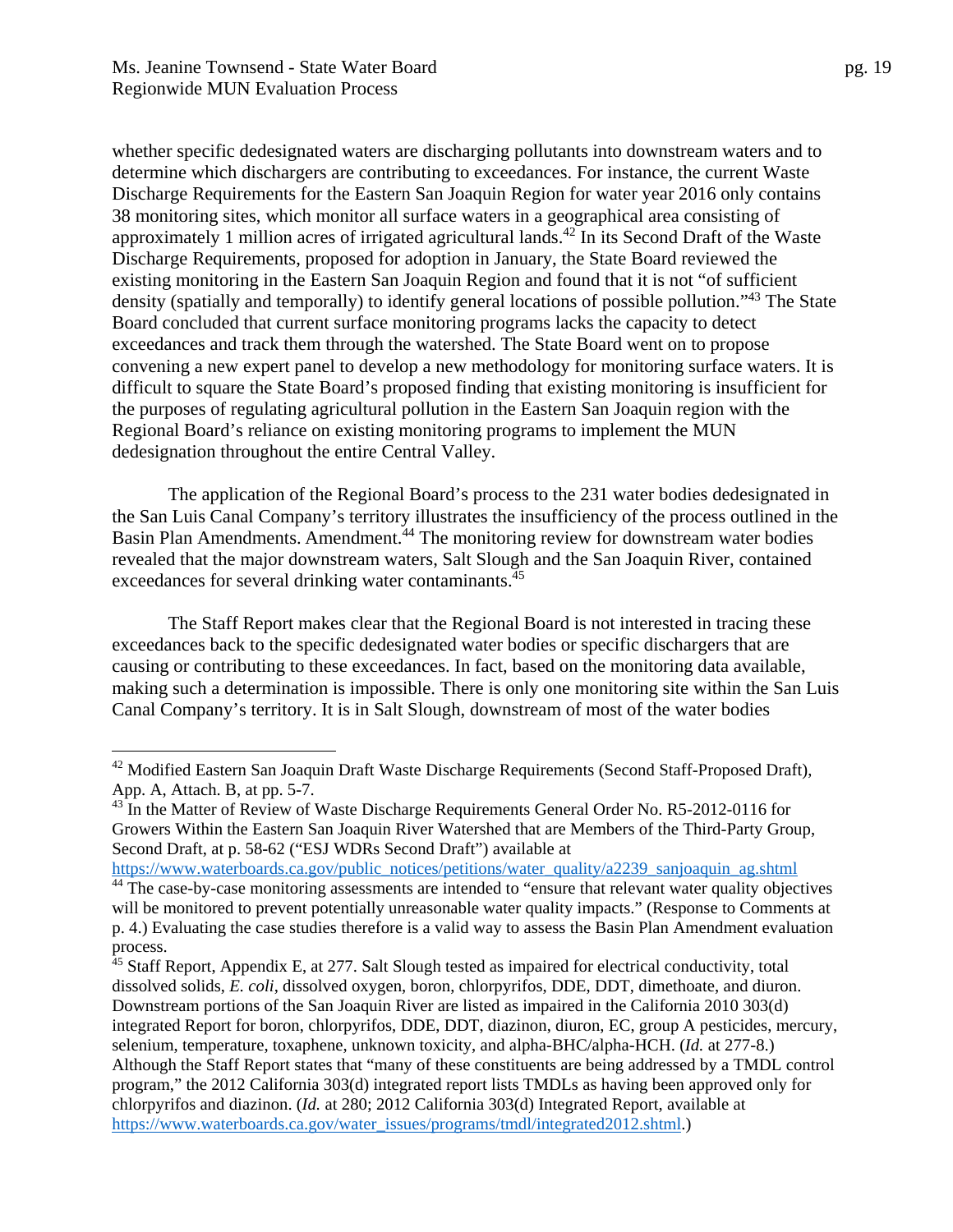dedesignation throughout the entire Central Valley.

whether specific dedesignated waters are discharging pollutants into downstream waters and to determine which dischargers are contributing to exceedances. For instance, the current Waste Discharge Requirements for the Eastern San Joaquin Region for water year 2016 only contains 38 monitoring sites, which monitor all surface waters in a geographical area consisting of approximately 1 million acres of irrigated agricultural lands.<sup>42</sup> In its Second Draft of the Waste Discharge Requirements, proposed for adoption in January, the State Board reviewed the existing monitoring in the Eastern San Joaquin Region and found that it is not "of sufficient density (spatially and temporally) to identify general locations of possible pollution."<sup>43</sup> The State Board concluded that current surface monitoring programs lacks the capacity to detect exceedances and track them through the watershed. The State Board went on to propose convening a new expert panel to develop a new methodology for monitoring surface waters. It is difficult to square the State Board's proposed finding that existing monitoring is insufficient for the purposes of regulating agricultural pollution in the Eastern San Joaquin region with the Regional Board's reliance on existing monitoring programs to implement the MUN

The application of the Regional Board's process to the 231 water bodies dedesignated in the San Luis Canal Company's territory illustrates the insufficiency of the process outlined in the Basin Plan Amendments. Amendment.<sup>44</sup> The monitoring review for downstream water bodies revealed that the major downstream waters, Salt Slough and the San Joaquin River, contained exceedances for several drinking water contaminants.<sup>45</sup>

The Staff Report makes clear that the Regional Board is not interested in tracing these exceedances back to the specific dedesignated water bodies or specific dischargers that are causing or contributing to these exceedances. In fact, based on the monitoring data available, making such a determination is impossible. There is only one monitoring site within the San Luis Canal Company's territory. It is in Salt Slough, downstream of most of the water bodies

<sup>&</sup>lt;sup>42</sup> Modified Eastern San Joaquin Draft Waste Discharge Requirements (Second Staff-Proposed Draft), App. A, Attach. B, at pp. 5-7.

<sup>&</sup>lt;sup>43</sup> In the Matter of Review of Waste Discharge Requirements General Order No. R5-2012-0116 for Growers Within the Eastern San Joaquin River Watershed that are Members of the Third-Party Group, Second Draft, at p. 58-62 ("ESJ WDRs Second Draft") available at

https://www.waterboards.ca.gov/public\_notices/petitions/water\_quality/a2239\_sanjoaquin\_ag.shtml <sup>44</sup> The case-by-case monitoring assessments are intended to "ensure that relevant water quality objectives will be monitored to prevent potentially unreasonable water quality impacts." (Response to Comments at p. 4.) Evaluating the case studies therefore is a valid way to assess the Basin Plan Amendment evaluation

process.

 $45$  Staff Report, Appendix E, at 277. Salt Slough tested as impaired for electrical conductivity, total dissolved solids, *E. coli*, dissolved oxygen, boron, chlorpyrifos, DDE, DDT, dimethoate, and diuron. Downstream portions of the San Joaquin River are listed as impaired in the California 2010 303(d) integrated Report for boron, chlorpyrifos, DDE, DDT, diazinon, diuron, EC, group A pesticides, mercury, selenium, temperature, toxaphene, unknown toxicity, and alpha-BHC/alpha-HCH. (*Id.* at 277-8.) Although the Staff Report states that "many of these constituents are being addressed by a TMDL control program," the 2012 California 303(d) integrated report lists TMDLs as having been approved only for chlorpyrifos and diazinon. (*Id.* at 280; 2012 California 303(d) Integrated Report, available at https://www.waterboards.ca.gov/water\_issues/programs/tmdl/integrated2012.shtml.)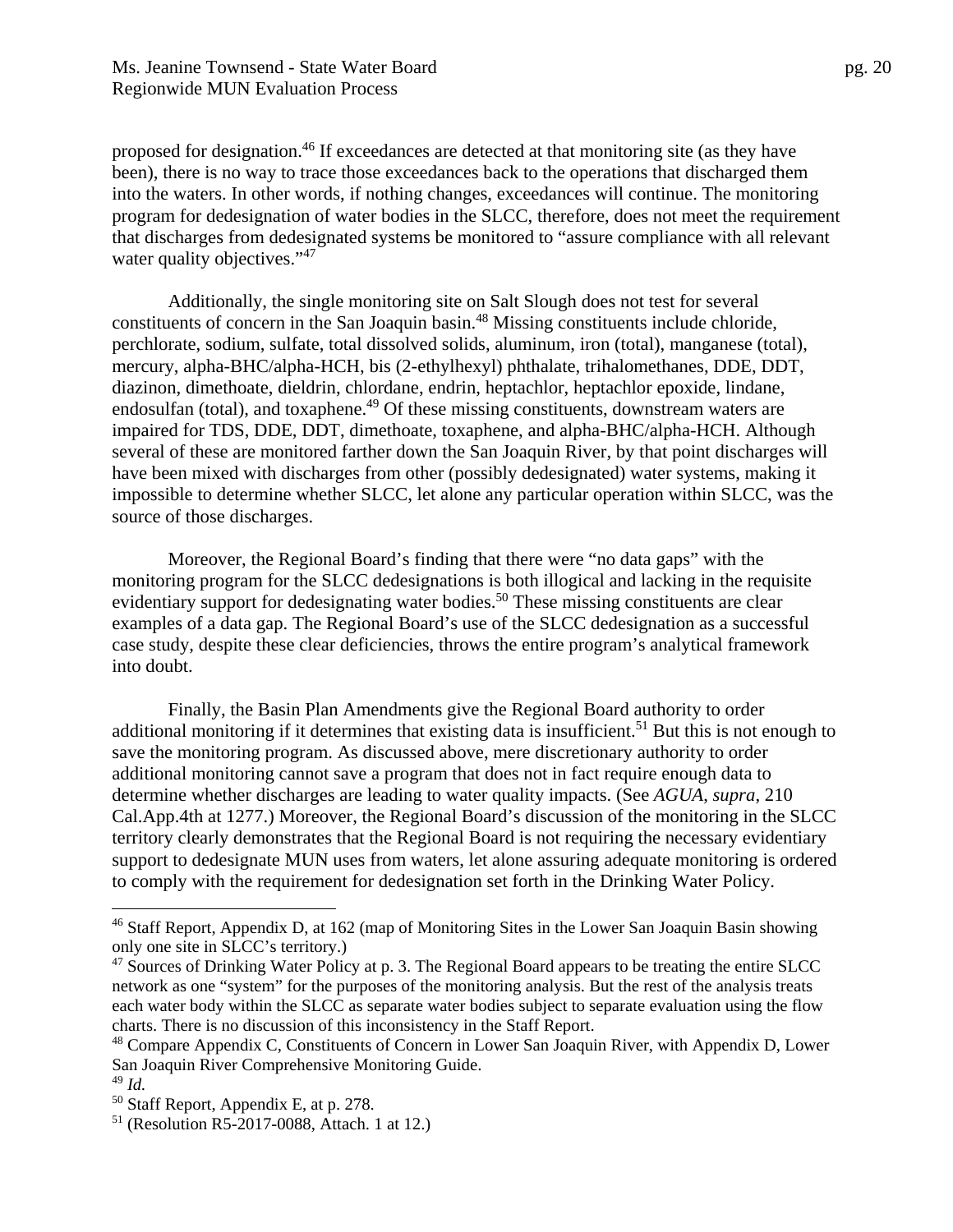proposed for designation.<sup>46</sup> If exceedances are detected at that monitoring site (as they have been), there is no way to trace those exceedances back to the operations that discharged them into the waters. In other words, if nothing changes, exceedances will continue. The monitoring program for dedesignation of water bodies in the SLCC, therefore, does not meet the requirement that discharges from dedesignated systems be monitored to "assure compliance with all relevant water quality objectives."<sup>47</sup>

Additionally, the single monitoring site on Salt Slough does not test for several constituents of concern in the San Joaquin basin.48 Missing constituents include chloride, perchlorate, sodium, sulfate, total dissolved solids, aluminum, iron (total), manganese (total), mercury, alpha-BHC/alpha-HCH, bis (2-ethylhexyl) phthalate, trihalomethanes, DDE, DDT, diazinon, dimethoate, dieldrin, chlordane, endrin, heptachlor, heptachlor epoxide, lindane, endosulfan (total), and toxaphene.<sup>49</sup> Of these missing constituents, downstream waters are impaired for TDS, DDE, DDT, dimethoate, toxaphene, and alpha-BHC/alpha-HCH. Although several of these are monitored farther down the San Joaquin River, by that point discharges will have been mixed with discharges from other (possibly dedesignated) water systems, making it impossible to determine whether SLCC, let alone any particular operation within SLCC, was the source of those discharges.

Moreover, the Regional Board's finding that there were "no data gaps" with the monitoring program for the SLCC dedesignations is both illogical and lacking in the requisite evidentiary support for dedesignating water bodies.<sup>50</sup> These missing constituents are clear examples of a data gap. The Regional Board's use of the SLCC dedesignation as a successful case study, despite these clear deficiencies, throws the entire program's analytical framework into doubt.

Finally, the Basin Plan Amendments give the Regional Board authority to order additional monitoring if it determines that existing data is insufficient.<sup>51</sup> But this is not enough to save the monitoring program. As discussed above, mere discretionary authority to order additional monitoring cannot save a program that does not in fact require enough data to determine whether discharges are leading to water quality impacts. (See *AGUA*, *supra*, 210 Cal.App.4th at 1277.) Moreover, the Regional Board's discussion of the monitoring in the SLCC territory clearly demonstrates that the Regional Board is not requiring the necessary evidentiary support to dedesignate MUN uses from waters, let alone assuring adequate monitoring is ordered to comply with the requirement for dedesignation set forth in the Drinking Water Policy.

1

<sup>&</sup>lt;sup>46</sup> Staff Report, Appendix D, at 162 (map of Monitoring Sites in the Lower San Joaquin Basin showing only one site in SLCC's territory.)

<sup>&</sup>lt;sup>47</sup> Sources of Drinking Water Policy at p. 3. The Regional Board appears to be treating the entire SLCC network as one "system" for the purposes of the monitoring analysis. But the rest of the analysis treats each water body within the SLCC as separate water bodies subject to separate evaluation using the flow charts. There is no discussion of this inconsistency in the Staff Report.

<sup>&</sup>lt;sup>48</sup> Compare Appendix C, Constituents of Concern in Lower San Joaquin River, with Appendix D, Lower San Joaquin River Comprehensive Monitoring Guide.

<sup>49</sup> *Id.* 

<sup>50</sup> Staff Report, Appendix E, at p. 278.

<sup>51 (</sup>Resolution R5-2017-0088, Attach. 1 at 12.)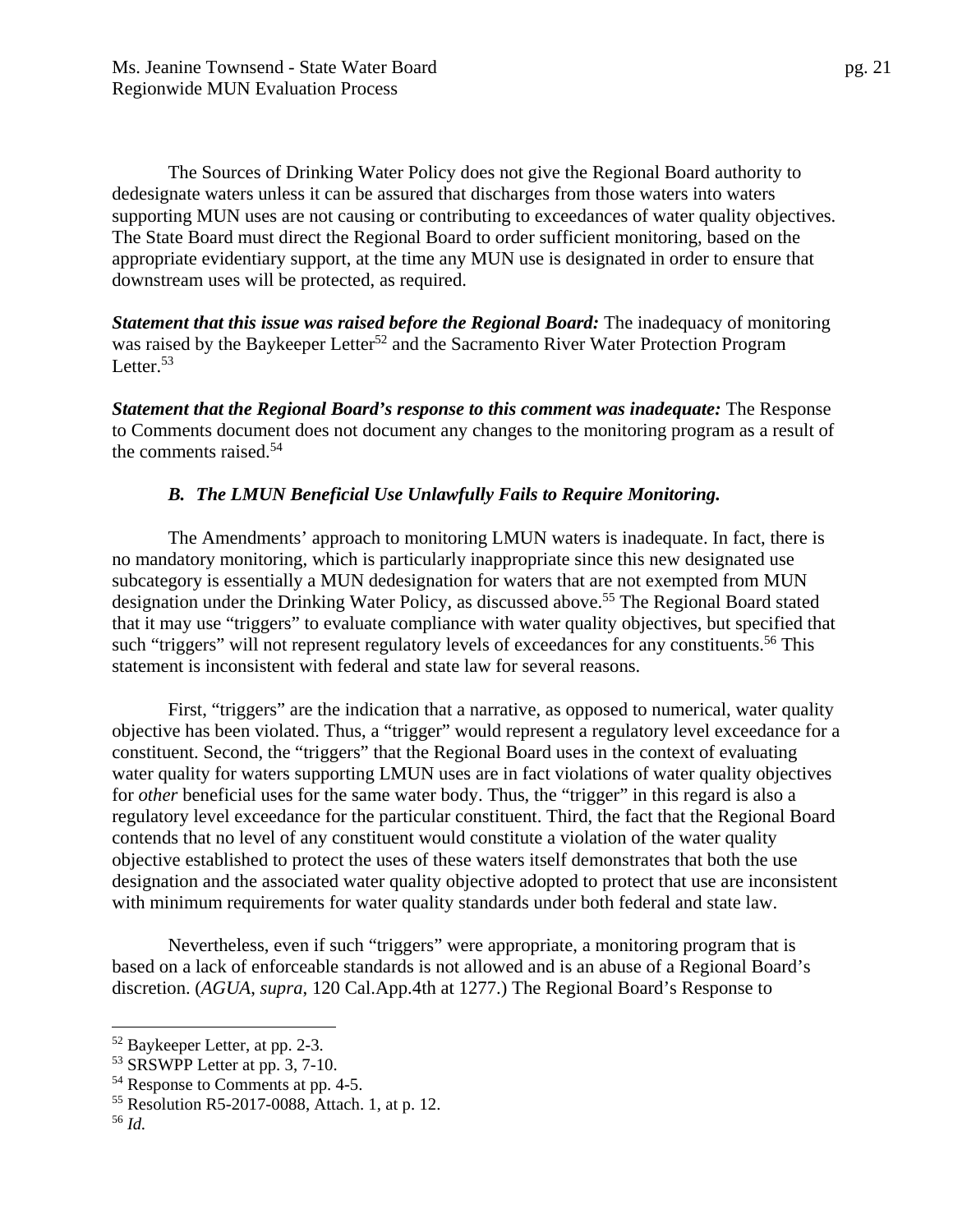The Sources of Drinking Water Policy does not give the Regional Board authority to dedesignate waters unless it can be assured that discharges from those waters into waters supporting MUN uses are not causing or contributing to exceedances of water quality objectives. The State Board must direct the Regional Board to order sufficient monitoring, based on the appropriate evidentiary support, at the time any MUN use is designated in order to ensure that downstream uses will be protected, as required.

*Statement that this issue was raised before the Regional Board: The inadequacy of monitoring* was raised by the Baykeeper Letter<sup>52</sup> and the Sacramento River Water Protection Program Letter.<sup>53</sup>

*Statement that the Regional Board's response to this comment was inadequate:* The Response to Comments document does not document any changes to the monitoring program as a result of the comments raised.54

#### *B. The LMUN Beneficial Use Unlawfully Fails to Require Monitoring.*

The Amendments' approach to monitoring LMUN waters is inadequate. In fact, there is no mandatory monitoring, which is particularly inappropriate since this new designated use subcategory is essentially a MUN dedesignation for waters that are not exempted from MUN designation under the Drinking Water Policy, as discussed above.<sup>55</sup> The Regional Board stated that it may use "triggers" to evaluate compliance with water quality objectives, but specified that such "triggers" will not represent regulatory levels of exceedances for any constituents.<sup>56</sup> This statement is inconsistent with federal and state law for several reasons.

First, "triggers" are the indication that a narrative, as opposed to numerical, water quality objective has been violated. Thus, a "trigger" would represent a regulatory level exceedance for a constituent. Second, the "triggers" that the Regional Board uses in the context of evaluating water quality for waters supporting LMUN uses are in fact violations of water quality objectives for *other* beneficial uses for the same water body. Thus, the "trigger" in this regard is also a regulatory level exceedance for the particular constituent. Third, the fact that the Regional Board contends that no level of any constituent would constitute a violation of the water quality objective established to protect the uses of these waters itself demonstrates that both the use designation and the associated water quality objective adopted to protect that use are inconsistent with minimum requirements for water quality standards under both federal and state law.

Nevertheless, even if such "triggers" were appropriate, a monitoring program that is based on a lack of enforceable standards is not allowed and is an abuse of a Regional Board's discretion. (*AGUA*, *supra*, 120 Cal.App.4th at 1277.) The Regional Board's Response to

<sup>52</sup> Baykeeper Letter, at pp. 2-3.

<sup>53</sup> SRSWPP Letter at pp. 3, 7-10.

<sup>54</sup> Response to Comments at pp. 4-5.

<sup>55</sup> Resolution R5-2017-0088, Attach. 1, at p. 12.

<sup>56</sup> *Id.*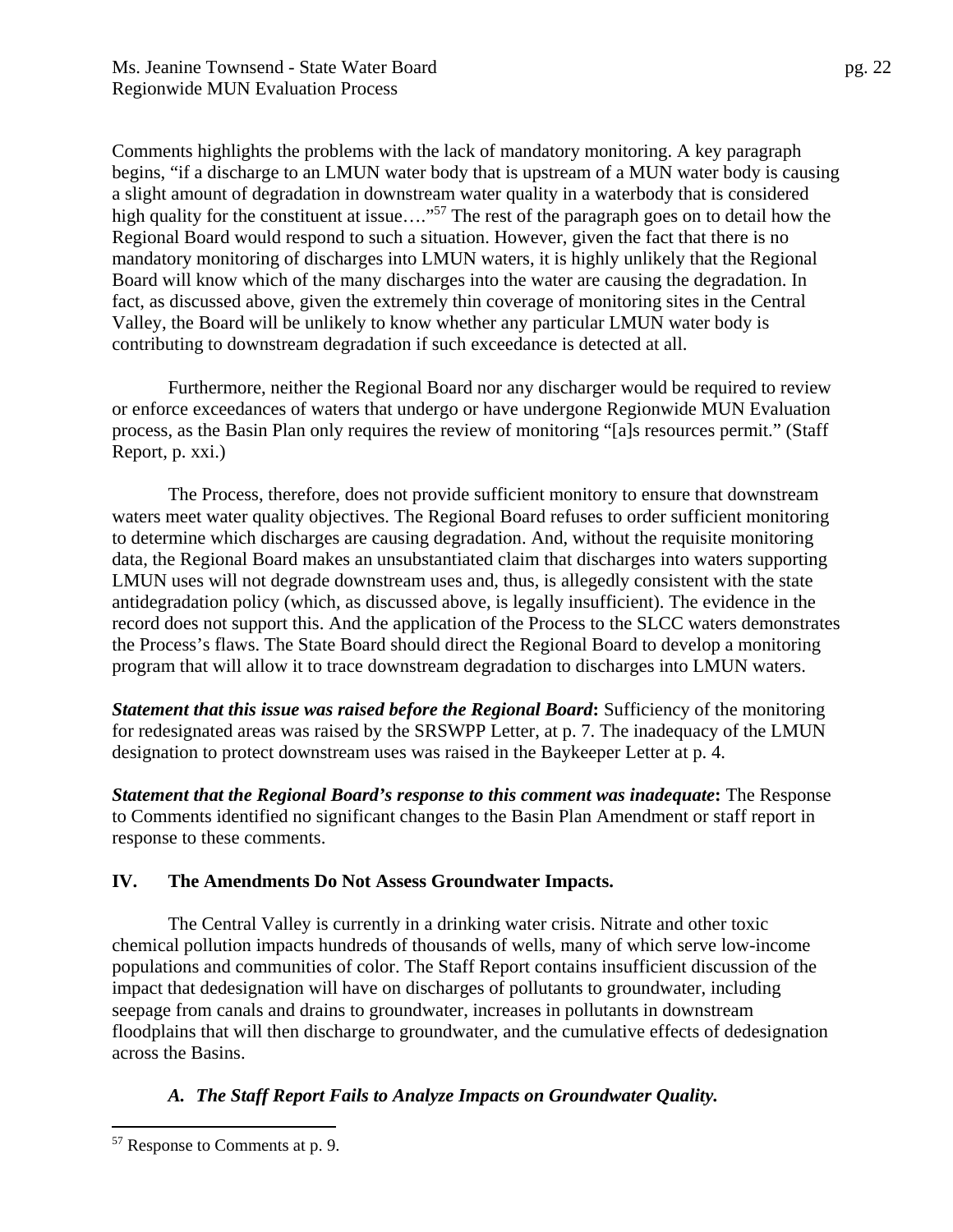Comments highlights the problems with the lack of mandatory monitoring. A key paragraph begins, "if a discharge to an LMUN water body that is upstream of a MUN water body is causing a slight amount of degradation in downstream water quality in a waterbody that is considered high quality for the constituent at issue...."<sup>57</sup> The rest of the paragraph goes on to detail how the Regional Board would respond to such a situation. However, given the fact that there is no mandatory monitoring of discharges into LMUN waters, it is highly unlikely that the Regional Board will know which of the many discharges into the water are causing the degradation. In fact, as discussed above, given the extremely thin coverage of monitoring sites in the Central Valley, the Board will be unlikely to know whether any particular LMUN water body is contributing to downstream degradation if such exceedance is detected at all.

Furthermore, neither the Regional Board nor any discharger would be required to review or enforce exceedances of waters that undergo or have undergone Regionwide MUN Evaluation process, as the Basin Plan only requires the review of monitoring "[a]s resources permit." (Staff Report, p. xxi.)

The Process, therefore, does not provide sufficient monitory to ensure that downstream waters meet water quality objectives. The Regional Board refuses to order sufficient monitoring to determine which discharges are causing degradation. And, without the requisite monitoring data, the Regional Board makes an unsubstantiated claim that discharges into waters supporting LMUN uses will not degrade downstream uses and, thus, is allegedly consistent with the state antidegradation policy (which, as discussed above, is legally insufficient). The evidence in the record does not support this. And the application of the Process to the SLCC waters demonstrates the Process's flaws. The State Board should direct the Regional Board to develop a monitoring program that will allow it to trace downstream degradation to discharges into LMUN waters.

*Statement that this issue was raised before the Regional Board***:** Sufficiency of the monitoring for redesignated areas was raised by the SRSWPP Letter, at p. 7. The inadequacy of the LMUN designation to protect downstream uses was raised in the Baykeeper Letter at p. 4.

*Statement that the Regional Board's response to this comment was inadequate***:** The Response to Comments identified no significant changes to the Basin Plan Amendment or staff report in response to these comments.

## **IV. The Amendments Do Not Assess Groundwater Impacts.**

The Central Valley is currently in a drinking water crisis. Nitrate and other toxic chemical pollution impacts hundreds of thousands of wells, many of which serve low-income populations and communities of color. The Staff Report contains insufficient discussion of the impact that dedesignation will have on discharges of pollutants to groundwater, including seepage from canals and drains to groundwater, increases in pollutants in downstream floodplains that will then discharge to groundwater, and the cumulative effects of dedesignation across the Basins.

# *A. The Staff Report Fails to Analyze Impacts on Groundwater Quality.*

<sup>57</sup> Response to Comments at p. 9.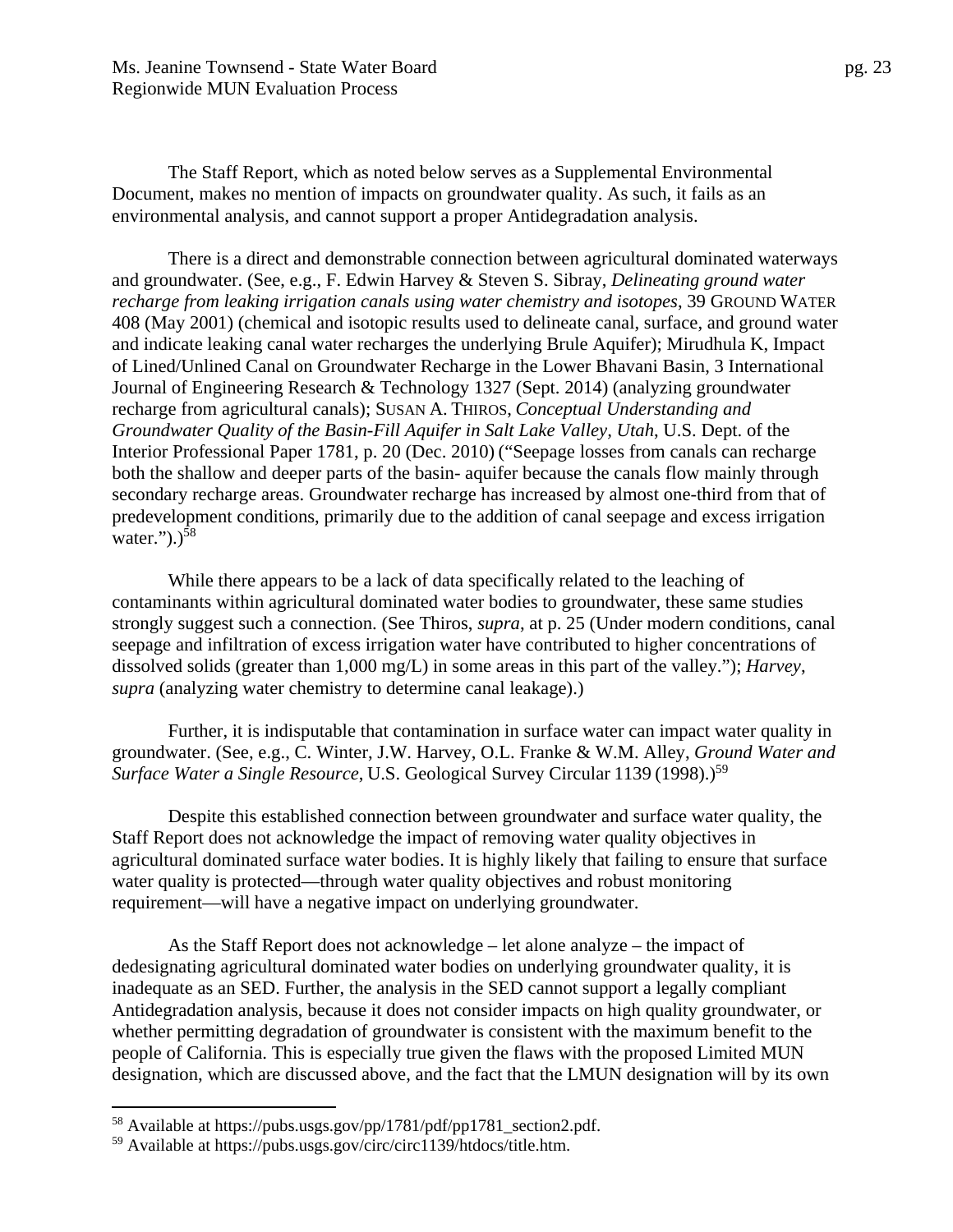Ms. Jeanine Townsend - State Water Board pg. 23 Regionwide MUN Evaluation Process

The Staff Report, which as noted below serves as a Supplemental Environmental Document, makes no mention of impacts on groundwater quality. As such, it fails as an environmental analysis, and cannot support a proper Antidegradation analysis.

There is a direct and demonstrable connection between agricultural dominated waterways and groundwater. (See, e.g., F. Edwin Harvey & Steven S. Sibray, *Delineating ground water recharge from leaking irrigation canals using water chemistry and isotopes*, 39 GROUND WATER 408 (May 2001) (chemical and isotopic results used to delineate canal, surface, and ground water and indicate leaking canal water recharges the underlying Brule Aquifer); Mirudhula K, Impact of Lined/Unlined Canal on Groundwater Recharge in the Lower Bhavani Basin, 3 International Journal of Engineering Research & Technology 1327 (Sept. 2014) (analyzing groundwater recharge from agricultural canals); SUSAN A. THIROS, *Conceptual Understanding and Groundwater Quality of the Basin-Fill Aquifer in Salt Lake Valley, Utah*, U.S. Dept. of the Interior Professional Paper 1781, p. 20 (Dec. 2010) ("Seepage losses from canals can recharge both the shallow and deeper parts of the basin- aquifer because the canals flow mainly through secondary recharge areas. Groundwater recharge has increased by almost one-third from that of predevelopment conditions, primarily due to the addition of canal seepage and excess irrigation water." $)$ .)<sup>58</sup>

While there appears to be a lack of data specifically related to the leaching of contaminants within agricultural dominated water bodies to groundwater, these same studies strongly suggest such a connection. (See Thiros, *supra*, at p. 25 (Under modern conditions, canal seepage and infiltration of excess irrigation water have contributed to higher concentrations of dissolved solids (greater than 1,000 mg/L) in some areas in this part of the valley."); *Harvey*, *supra* (analyzing water chemistry to determine canal leakage).)

Further, it is indisputable that contamination in surface water can impact water quality in groundwater. (See, e.g., C. Winter, J.W. Harvey, O.L. Franke & W.M. Alley, *Ground Water and Surface Water a Single Resource*, U.S. Geological Survey Circular 1139 (1998).)<sup>59</sup>

Despite this established connection between groundwater and surface water quality, the Staff Report does not acknowledge the impact of removing water quality objectives in agricultural dominated surface water bodies. It is highly likely that failing to ensure that surface water quality is protected—through water quality objectives and robust monitoring requirement—will have a negative impact on underlying groundwater.

As the Staff Report does not acknowledge – let alone analyze – the impact of dedesignating agricultural dominated water bodies on underlying groundwater quality, it is inadequate as an SED. Further, the analysis in the SED cannot support a legally compliant Antidegradation analysis, because it does not consider impacts on high quality groundwater, or whether permitting degradation of groundwater is consistent with the maximum benefit to the people of California. This is especially true given the flaws with the proposed Limited MUN designation, which are discussed above, and the fact that the LMUN designation will by its own

<sup>58</sup> Available at https://pubs.usgs.gov/pp/1781/pdf/pp1781\_section2.pdf.

<sup>59</sup> Available at https://pubs.usgs.gov/circ/circ1139/htdocs/title.htm.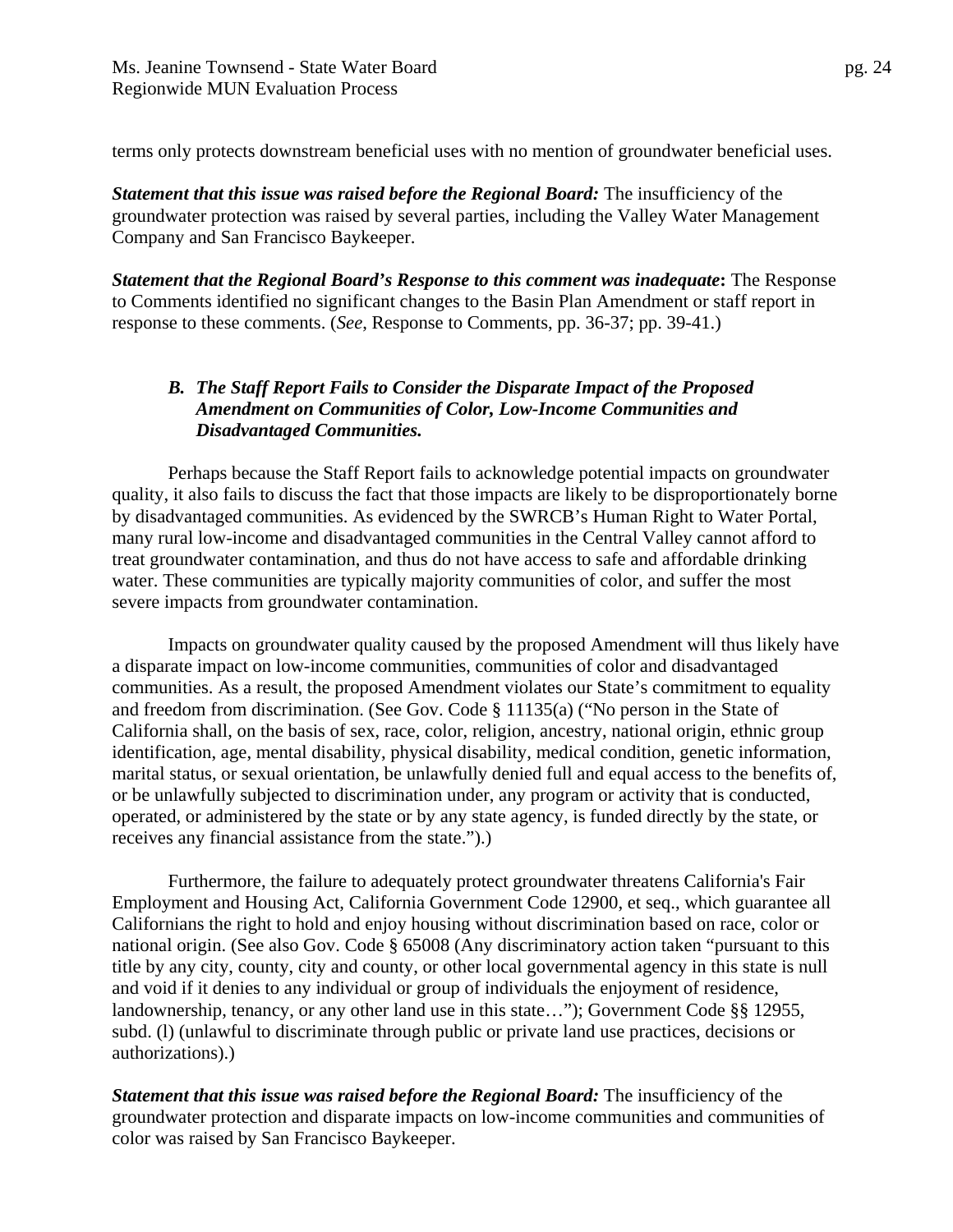terms only protects downstream beneficial uses with no mention of groundwater beneficial uses.

*Statement that this issue was raised before the Regional Board:* The insufficiency of the groundwater protection was raised by several parties, including the Valley Water Management Company and San Francisco Baykeeper.

*Statement that the Regional Board's Response to this comment was inadequate***:** The Response to Comments identified no significant changes to the Basin Plan Amendment or staff report in response to these comments. (*See*, Response to Comments, pp. 36-37; pp. 39-41.)

## *B. The Staff Report Fails to Consider the Disparate Impact of the Proposed Amendment on Communities of Color, Low-Income Communities and Disadvantaged Communities.*

Perhaps because the Staff Report fails to acknowledge potential impacts on groundwater quality, it also fails to discuss the fact that those impacts are likely to be disproportionately borne by disadvantaged communities. As evidenced by the SWRCB's Human Right to Water Portal, many rural low-income and disadvantaged communities in the Central Valley cannot afford to treat groundwater contamination, and thus do not have access to safe and affordable drinking water. These communities are typically majority communities of color, and suffer the most severe impacts from groundwater contamination.

Impacts on groundwater quality caused by the proposed Amendment will thus likely have a disparate impact on low-income communities, communities of color and disadvantaged communities. As a result, the proposed Amendment violates our State's commitment to equality and freedom from discrimination. (See Gov. Code § 11135(a) ("No person in the State of California shall, on the basis of sex, race, color, religion, ancestry, national origin, ethnic group identification, age, mental disability, physical disability, medical condition, genetic information, marital status, or sexual orientation, be unlawfully denied full and equal access to the benefits of, or be unlawfully subjected to discrimination under, any program or activity that is conducted, operated, or administered by the state or by any state agency, is funded directly by the state, or receives any financial assistance from the state.").)

Furthermore, the failure to adequately protect groundwater threatens California's Fair Employment and Housing Act, California Government Code 12900, et seq., which guarantee all Californians the right to hold and enjoy housing without discrimination based on race, color or national origin. (See also Gov. Code § 65008 (Any discriminatory action taken "pursuant to this title by any city, county, city and county, or other local governmental agency in this state is null and void if it denies to any individual or group of individuals the enjoyment of residence, landownership, tenancy, or any other land use in this state…"); Government Code §§ 12955, subd. (l) (unlawful to discriminate through public or private land use practices, decisions or authorizations).)

*Statement that this issue was raised before the Regional Board:* The insufficiency of the groundwater protection and disparate impacts on low-income communities and communities of color was raised by San Francisco Baykeeper.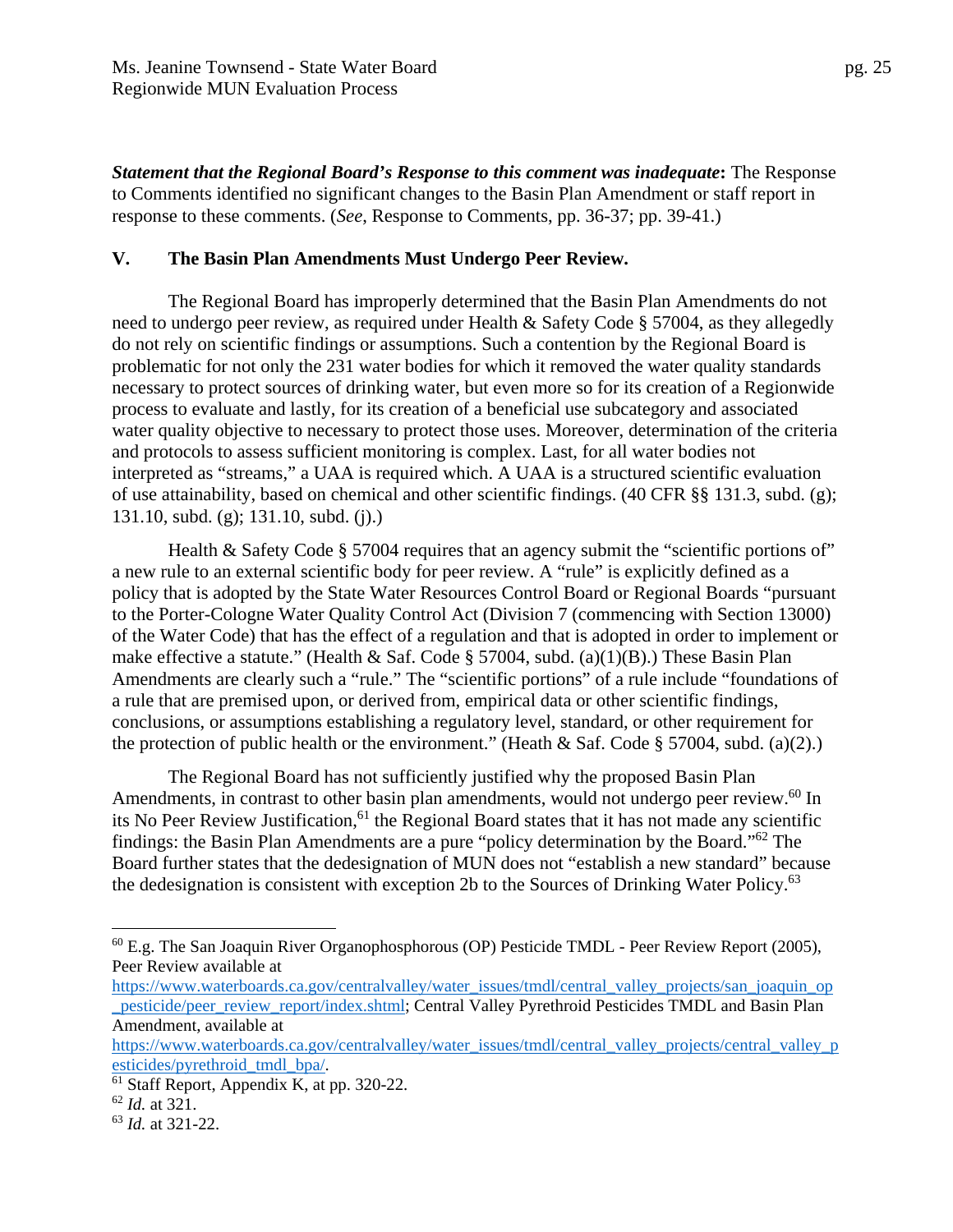*Statement that the Regional Board's Response to this comment was inadequate***:** The Response to Comments identified no significant changes to the Basin Plan Amendment or staff report in response to these comments. (*See*, Response to Comments, pp. 36-37; pp. 39-41.)

#### **V. The Basin Plan Amendments Must Undergo Peer Review.**

The Regional Board has improperly determined that the Basin Plan Amendments do not need to undergo peer review, as required under Health & Safety Code § 57004, as they allegedly do not rely on scientific findings or assumptions. Such a contention by the Regional Board is problematic for not only the 231 water bodies for which it removed the water quality standards necessary to protect sources of drinking water, but even more so for its creation of a Regionwide process to evaluate and lastly, for its creation of a beneficial use subcategory and associated water quality objective to necessary to protect those uses. Moreover, determination of the criteria and protocols to assess sufficient monitoring is complex. Last, for all water bodies not interpreted as "streams," a UAA is required which. A UAA is a structured scientific evaluation of use attainability, based on chemical and other scientific findings. (40 CFR §§ 131.3, subd. (g); 131.10, subd. (g); 131.10, subd. (j).)

Health & Safety Code § 57004 requires that an agency submit the "scientific portions of" a new rule to an external scientific body for peer review. A "rule" is explicitly defined as a policy that is adopted by the State Water Resources Control Board or Regional Boards "pursuant to the Porter-Cologne Water Quality Control Act (Division 7 (commencing with Section 13000) of the Water Code) that has the effect of a regulation and that is adopted in order to implement or make effective a statute." (Health & Saf. Code § 57004, subd. (a)(1)(B).) These Basin Plan Amendments are clearly such a "rule." The "scientific portions" of a rule include "foundations of a rule that are premised upon, or derived from, empirical data or other scientific findings, conclusions, or assumptions establishing a regulatory level, standard, or other requirement for the protection of public health or the environment." (Heath & Saf. Code § 57004, subd. (a)(2).)

The Regional Board has not sufficiently justified why the proposed Basin Plan Amendments, in contrast to other basin plan amendments, would not undergo peer review.<sup>60</sup> In its No Peer Review Justification,  $61$  the Regional Board states that it has not made any scientific findings: the Basin Plan Amendments are a pure "policy determination by the Board."62 The Board further states that the dedesignation of MUN does not "establish a new standard" because the dedesignation is consistent with exception 2b to the Sources of Drinking Water Policy.<sup>63</sup>

1

 $60$  E.g. The San Joaquin River Organophosphorous (OP) Pesticide TMDL - Peer Review Report (2005), Peer Review available at

https://www.waterboards.ca.gov/centralvalley/water\_issues/tmdl/central\_valley\_projects/san\_joaquin\_op pesticide/peer\_review\_report/index.shtml; Central Valley Pyrethroid Pesticides TMDL and Basin Plan Amendment, available at

https://www.waterboards.ca.gov/centralvalley/water\_issues/tmdl/central\_valley\_projects/central\_valley\_p esticides/pyrethroid\_tmdl\_bpa/.<br><sup>61</sup> Staff Report, Appendix K, at pp. 320-22.

<sup>62</sup> *Id.* at 321.

<sup>63</sup> *Id.* at 321-22.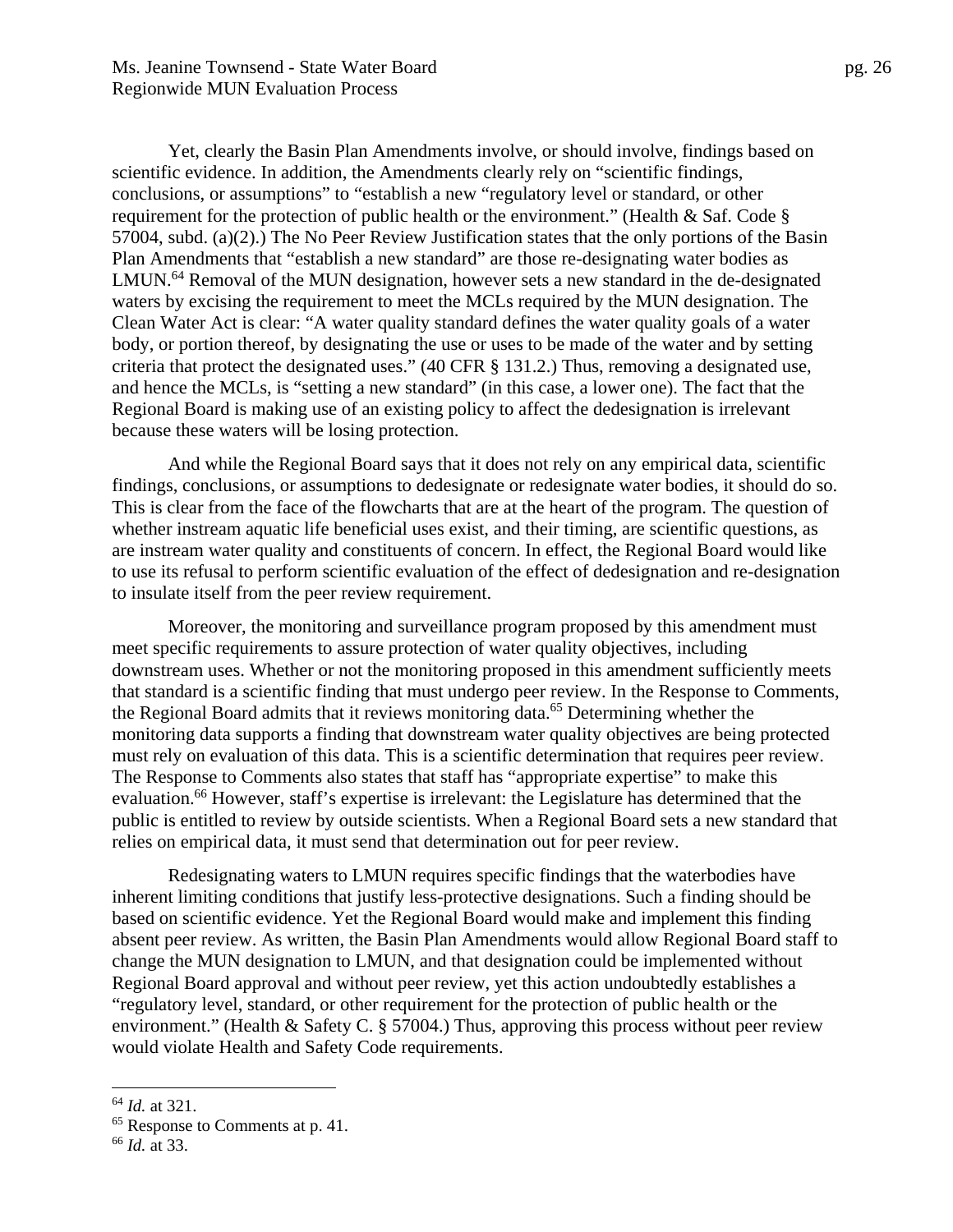Yet, clearly the Basin Plan Amendments involve, or should involve, findings based on scientific evidence. In addition, the Amendments clearly rely on "scientific findings, conclusions, or assumptions" to "establish a new "regulatory level or standard, or other requirement for the protection of public health or the environment." (Health & Saf. Code § 57004, subd. (a)(2).) The No Peer Review Justification states that the only portions of the Basin Plan Amendments that "establish a new standard" are those re-designating water bodies as LMUN.<sup>64</sup> Removal of the MUN designation, however sets a new standard in the de-designated waters by excising the requirement to meet the MCLs required by the MUN designation. The Clean Water Act is clear: "A water quality standard defines the water quality goals of a water body, or portion thereof, by designating the use or uses to be made of the water and by setting criteria that protect the designated uses." (40 CFR § 131.2.) Thus, removing a designated use, and hence the MCLs, is "setting a new standard" (in this case, a lower one). The fact that the Regional Board is making use of an existing policy to affect the dedesignation is irrelevant because these waters will be losing protection.

And while the Regional Board says that it does not rely on any empirical data, scientific findings, conclusions, or assumptions to dedesignate or redesignate water bodies, it should do so. This is clear from the face of the flowcharts that are at the heart of the program. The question of whether instream aquatic life beneficial uses exist, and their timing, are scientific questions, as are instream water quality and constituents of concern. In effect, the Regional Board would like to use its refusal to perform scientific evaluation of the effect of dedesignation and re-designation to insulate itself from the peer review requirement.

Moreover, the monitoring and surveillance program proposed by this amendment must meet specific requirements to assure protection of water quality objectives, including downstream uses. Whether or not the monitoring proposed in this amendment sufficiently meets that standard is a scientific finding that must undergo peer review. In the Response to Comments, the Regional Board admits that it reviews monitoring data.65 Determining whether the monitoring data supports a finding that downstream water quality objectives are being protected must rely on evaluation of this data. This is a scientific determination that requires peer review. The Response to Comments also states that staff has "appropriate expertise" to make this evaluation.<sup>66</sup> However, staff's expertise is irrelevant: the Legislature has determined that the public is entitled to review by outside scientists. When a Regional Board sets a new standard that relies on empirical data, it must send that determination out for peer review.

Redesignating waters to LMUN requires specific findings that the waterbodies have inherent limiting conditions that justify less-protective designations. Such a finding should be based on scientific evidence. Yet the Regional Board would make and implement this finding absent peer review. As written, the Basin Plan Amendments would allow Regional Board staff to change the MUN designation to LMUN, and that designation could be implemented without Regional Board approval and without peer review, yet this action undoubtedly establishes a "regulatory level, standard, or other requirement for the protection of public health or the environment." (Health & Safety C. § 57004.) Thus, approving this process without peer review would violate Health and Safety Code requirements.

<sup>64</sup> *Id.* at 321.

<sup>65</sup> Response to Comments at p. 41.

<sup>66</sup> *Id.* at 33.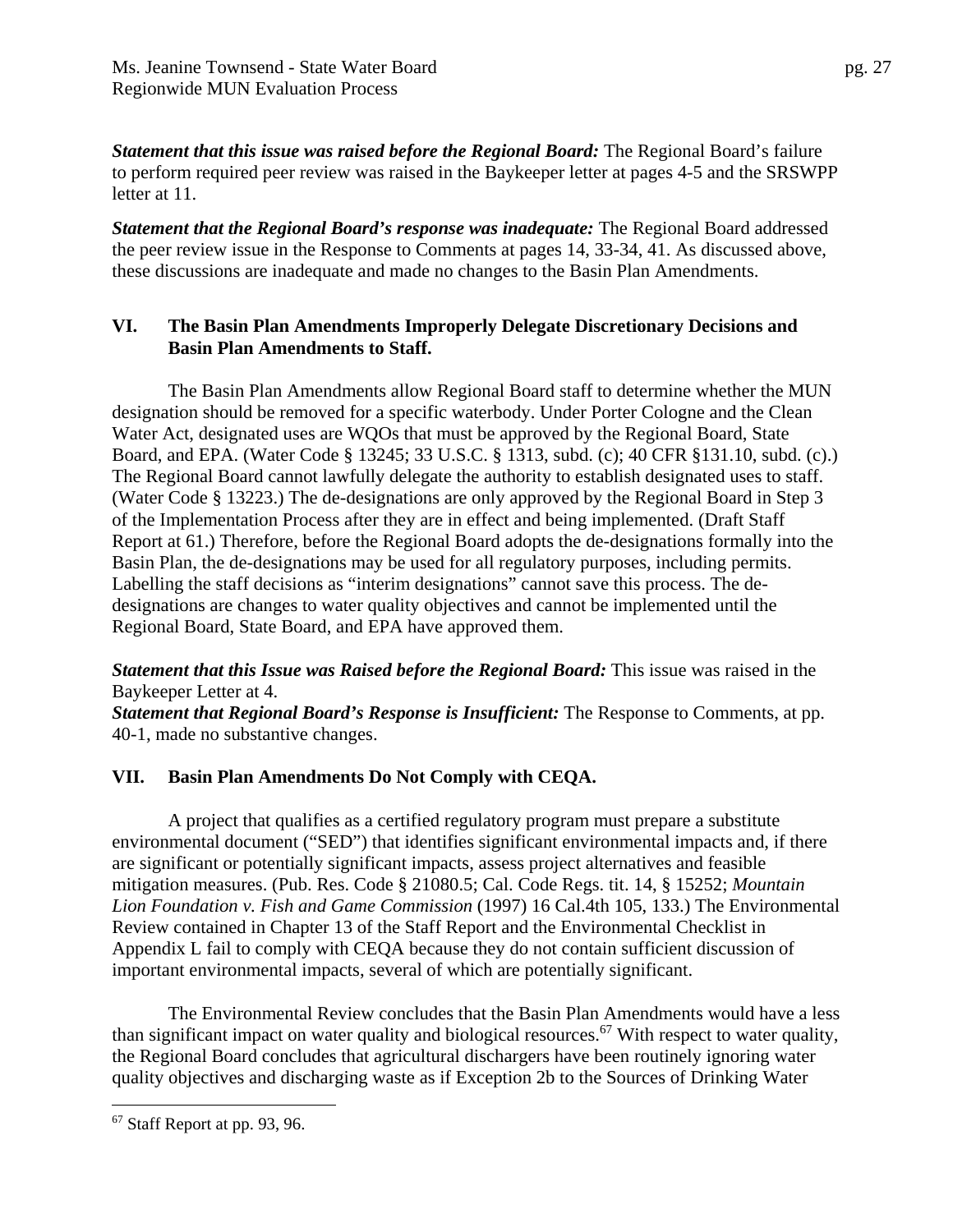*Statement that this issue was raised before the Regional Board:* The Regional Board's failure to perform required peer review was raised in the Baykeeper letter at pages 4-5 and the SRSWPP letter at 11.

*Statement that the Regional Board's response was inadequate:* The Regional Board addressed the peer review issue in the Response to Comments at pages 14, 33-34, 41. As discussed above, these discussions are inadequate and made no changes to the Basin Plan Amendments.

#### **VI. The Basin Plan Amendments Improperly Delegate Discretionary Decisions and Basin Plan Amendments to Staff.**

The Basin Plan Amendments allow Regional Board staff to determine whether the MUN designation should be removed for a specific waterbody. Under Porter Cologne and the Clean Water Act, designated uses are WQOs that must be approved by the Regional Board, State Board, and EPA. (Water Code § 13245; 33 U.S.C. § 1313, subd. (c); 40 CFR §131.10, subd. (c).) The Regional Board cannot lawfully delegate the authority to establish designated uses to staff. (Water Code § 13223.) The de-designations are only approved by the Regional Board in Step 3 of the Implementation Process after they are in effect and being implemented. (Draft Staff Report at 61.) Therefore, before the Regional Board adopts the de-designations formally into the Basin Plan, the de-designations may be used for all regulatory purposes, including permits. Labelling the staff decisions as "interim designations" cannot save this process. The dedesignations are changes to water quality objectives and cannot be implemented until the Regional Board, State Board, and EPA have approved them.

*Statement that this Issue was Raised before the Regional Board:* This issue was raised in the Baykeeper Letter at 4.

*Statement that Regional Board's Response is Insufficient:* The Response to Comments, at pp. 40-1, made no substantive changes.

## **VII. Basin Plan Amendments Do Not Comply with CEQA.**

 A project that qualifies as a certified regulatory program must prepare a substitute environmental document ("SED") that identifies significant environmental impacts and, if there are significant or potentially significant impacts, assess project alternatives and feasible mitigation measures. (Pub. Res. Code § 21080.5; Cal. Code Regs. tit. 14, § 15252; *Mountain Lion Foundation v. Fish and Game Commission* (1997) 16 Cal.4th 105, 133.) The Environmental Review contained in Chapter 13 of the Staff Report and the Environmental Checklist in Appendix L fail to comply with CEQA because they do not contain sufficient discussion of important environmental impacts, several of which are potentially significant.

The Environmental Review concludes that the Basin Plan Amendments would have a less than significant impact on water quality and biological resources.<sup>67</sup> With respect to water quality, the Regional Board concludes that agricultural dischargers have been routinely ignoring water quality objectives and discharging waste as if Exception 2b to the Sources of Drinking Water

 $\overline{a}$  $67$  Staff Report at pp. 93, 96.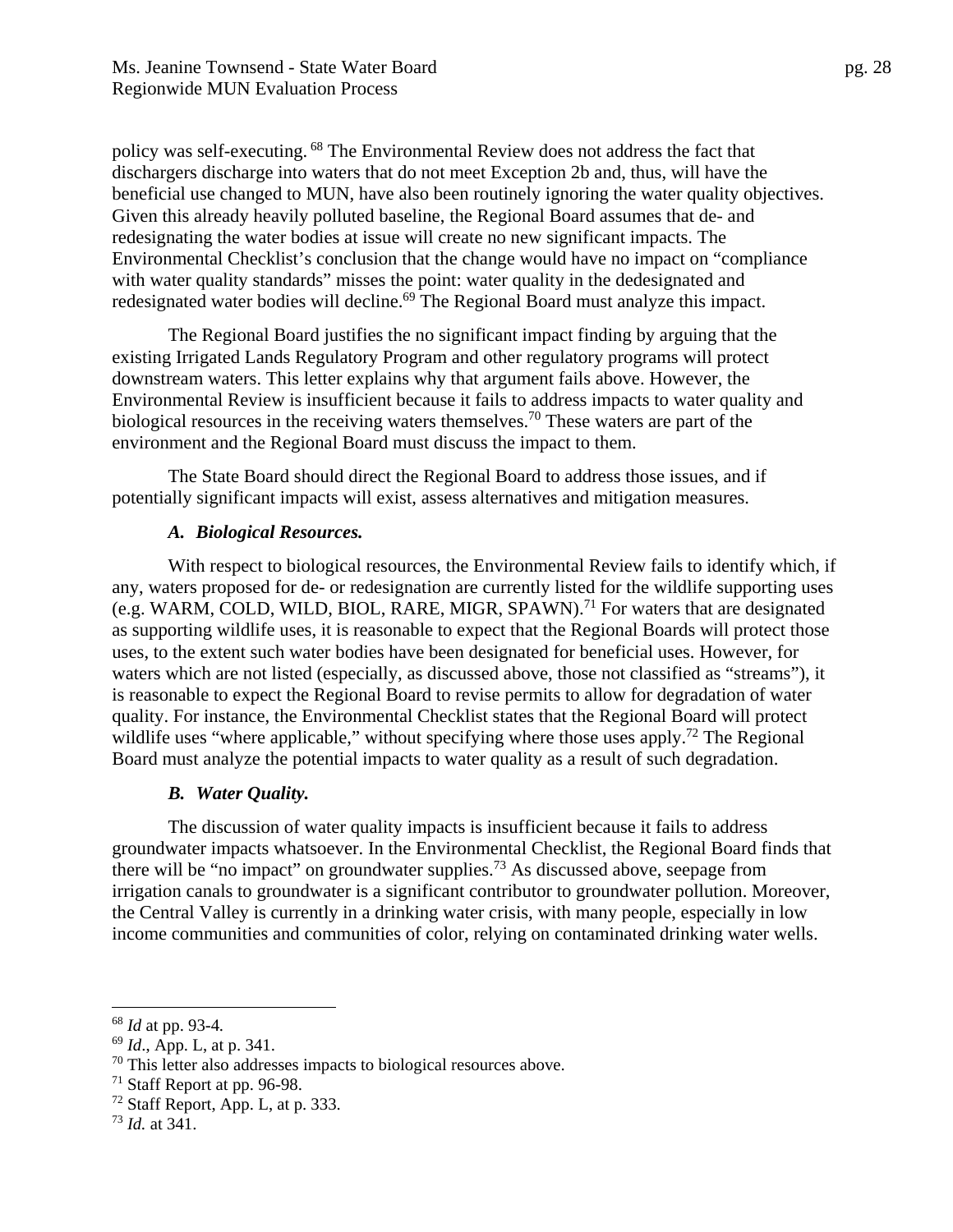policy was self-executing. 68 The Environmental Review does not address the fact that dischargers discharge into waters that do not meet Exception 2b and, thus, will have the beneficial use changed to MUN, have also been routinely ignoring the water quality objectives. Given this already heavily polluted baseline, the Regional Board assumes that de- and redesignating the water bodies at issue will create no new significant impacts. The Environmental Checklist's conclusion that the change would have no impact on "compliance with water quality standards" misses the point: water quality in the dedesignated and redesignated water bodies will decline.<sup>69</sup> The Regional Board must analyze this impact.

The Regional Board justifies the no significant impact finding by arguing that the existing Irrigated Lands Regulatory Program and other regulatory programs will protect downstream waters. This letter explains why that argument fails above. However, the Environmental Review is insufficient because it fails to address impacts to water quality and biological resources in the receiving waters themselves.<sup>70</sup> These waters are part of the environment and the Regional Board must discuss the impact to them.

The State Board should direct the Regional Board to address those issues, and if potentially significant impacts will exist, assess alternatives and mitigation measures.

#### *A. Biological Resources.*

With respect to biological resources, the Environmental Review fails to identify which, if any, waters proposed for de- or redesignation are currently listed for the wildlife supporting uses (e.g. WARM, COLD, WILD, BIOL, RARE, MIGR, SPAWN).71 For waters that are designated as supporting wildlife uses, it is reasonable to expect that the Regional Boards will protect those uses, to the extent such water bodies have been designated for beneficial uses. However, for waters which are not listed (especially, as discussed above, those not classified as "streams"), it is reasonable to expect the Regional Board to revise permits to allow for degradation of water quality. For instance, the Environmental Checklist states that the Regional Board will protect wildlife uses "where applicable," without specifying where those uses apply.<sup>72</sup> The Regional Board must analyze the potential impacts to water quality as a result of such degradation.

## *B. Water Quality.*

The discussion of water quality impacts is insufficient because it fails to address groundwater impacts whatsoever. In the Environmental Checklist, the Regional Board finds that there will be "no impact" on groundwater supplies.73 As discussed above, seepage from irrigation canals to groundwater is a significant contributor to groundwater pollution. Moreover, the Central Valley is currently in a drinking water crisis, with many people, especially in low income communities and communities of color, relying on contaminated drinking water wells.

 $68$  *Id* at pp. 93-4.

<sup>&</sup>lt;sup>69</sup> *Id.*, App. L, at p. 341.

 $70$  This letter also addresses impacts to biological resources above.

<sup>71</sup> Staff Report at pp. 96-98.

 $72$  Staff Report, App. L, at p. 333.

<sup>73</sup> *Id.* at 341.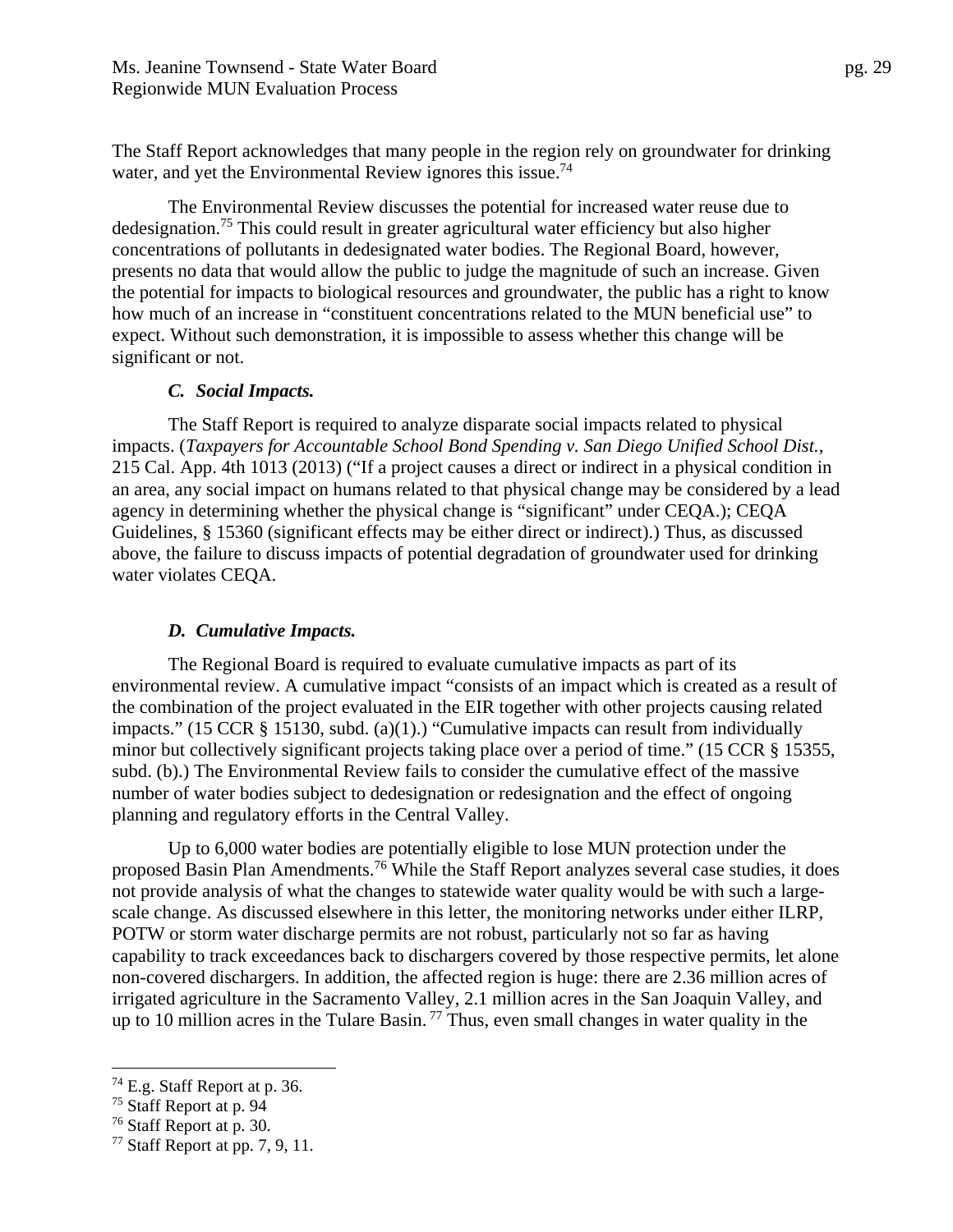The Staff Report acknowledges that many people in the region rely on groundwater for drinking water, and yet the Environmental Review ignores this issue.<sup>74</sup>

The Environmental Review discusses the potential for increased water reuse due to dedesignation.75 This could result in greater agricultural water efficiency but also higher concentrations of pollutants in dedesignated water bodies. The Regional Board, however, presents no data that would allow the public to judge the magnitude of such an increase. Given the potential for impacts to biological resources and groundwater, the public has a right to know how much of an increase in "constituent concentrations related to the MUN beneficial use" to expect. Without such demonstration, it is impossible to assess whether this change will be significant or not.

#### *C. Social Impacts.*

The Staff Report is required to analyze disparate social impacts related to physical impacts. (*Taxpayers for Accountable School Bond Spending v. San Diego Unified School Dist.*, 215 Cal. App. 4th 1013 (2013) ("If a project causes a direct or indirect in a physical condition in an area, any social impact on humans related to that physical change may be considered by a lead agency in determining whether the physical change is "significant" under CEQA.); CEQA Guidelines, § 15360 (significant effects may be either direct or indirect).) Thus, as discussed above, the failure to discuss impacts of potential degradation of groundwater used for drinking water violates CEQA.

#### *D. Cumulative Impacts.*

The Regional Board is required to evaluate cumulative impacts as part of its environmental review. A cumulative impact "consists of an impact which is created as a result of the combination of the project evaluated in the EIR together with other projects causing related impacts." (15 CCR § 15130, subd. (a)(1).) "Cumulative impacts can result from individually minor but collectively significant projects taking place over a period of time." (15 CCR § 15355, subd. (b).) The Environmental Review fails to consider the cumulative effect of the massive number of water bodies subject to dedesignation or redesignation and the effect of ongoing planning and regulatory efforts in the Central Valley.

Up to 6,000 water bodies are potentially eligible to lose MUN protection under the proposed Basin Plan Amendments.76 While the Staff Report analyzes several case studies, it does not provide analysis of what the changes to statewide water quality would be with such a largescale change. As discussed elsewhere in this letter, the monitoring networks under either ILRP, POTW or storm water discharge permits are not robust, particularly not so far as having capability to track exceedances back to dischargers covered by those respective permits, let alone non-covered dischargers. In addition, the affected region is huge: there are 2.36 million acres of irrigated agriculture in the Sacramento Valley, 2.1 million acres in the San Joaquin Valley, and up to 10 million acres in the Tulare Basin.<sup>77</sup> Thus, even small changes in water quality in the

 $74$  E.g. Staff Report at p. 36.

 $75$  Staff Report at p. 94

<sup>76</sup> Staff Report at p. 30.

<sup>77</sup> Staff Report at pp. 7, 9, 11.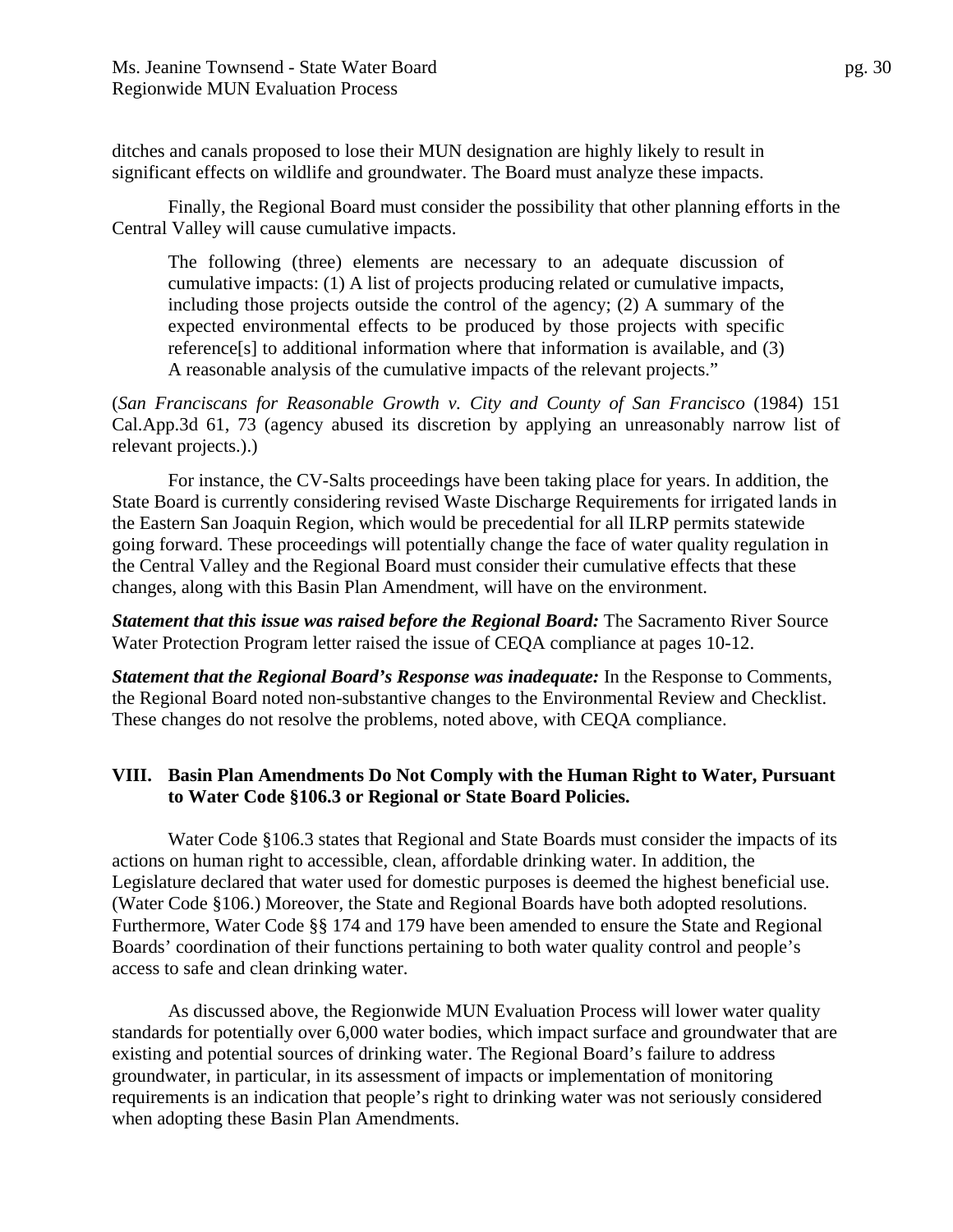ditches and canals proposed to lose their MUN designation are highly likely to result in significant effects on wildlife and groundwater. The Board must analyze these impacts.

Finally, the Regional Board must consider the possibility that other planning efforts in the Central Valley will cause cumulative impacts.

The following (three) elements are necessary to an adequate discussion of cumulative impacts: (1) A list of projects producing related or cumulative impacts, including those projects outside the control of the agency; (2) A summary of the expected environmental effects to be produced by those projects with specific reference[s] to additional information where that information is available, and (3) A reasonable analysis of the cumulative impacts of the relevant projects."

(*San Franciscans for Reasonable Growth v. City and County of San Francisco* (1984) 151 Cal.App.3d 61, 73 (agency abused its discretion by applying an unreasonably narrow list of relevant projects.).)

For instance, the CV-Salts proceedings have been taking place for years. In addition, the State Board is currently considering revised Waste Discharge Requirements for irrigated lands in the Eastern San Joaquin Region, which would be precedential for all ILRP permits statewide going forward. These proceedings will potentially change the face of water quality regulation in the Central Valley and the Regional Board must consider their cumulative effects that these changes, along with this Basin Plan Amendment, will have on the environment.

*Statement that this issue was raised before the Regional Board:* The Sacramento River Source Water Protection Program letter raised the issue of CEQA compliance at pages 10-12.

*Statement that the Regional Board's Response was inadequate:* In the Response to Comments, the Regional Board noted non-substantive changes to the Environmental Review and Checklist. These changes do not resolve the problems, noted above, with CEQA compliance.

#### **VIII. Basin Plan Amendments Do Not Comply with the Human Right to Water, Pursuant to Water Code §106.3 or Regional or State Board Policies.**

 Water Code §106.3 states that Regional and State Boards must consider the impacts of its actions on human right to accessible, clean, affordable drinking water. In addition, the Legislature declared that water used for domestic purposes is deemed the highest beneficial use. (Water Code §106.) Moreover, the State and Regional Boards have both adopted resolutions. Furthermore, Water Code §§ 174 and 179 have been amended to ensure the State and Regional Boards' coordination of their functions pertaining to both water quality control and people's access to safe and clean drinking water.

 As discussed above, the Regionwide MUN Evaluation Process will lower water quality standards for potentially over 6,000 water bodies, which impact surface and groundwater that are existing and potential sources of drinking water. The Regional Board's failure to address groundwater, in particular, in its assessment of impacts or implementation of monitoring requirements is an indication that people's right to drinking water was not seriously considered when adopting these Basin Plan Amendments.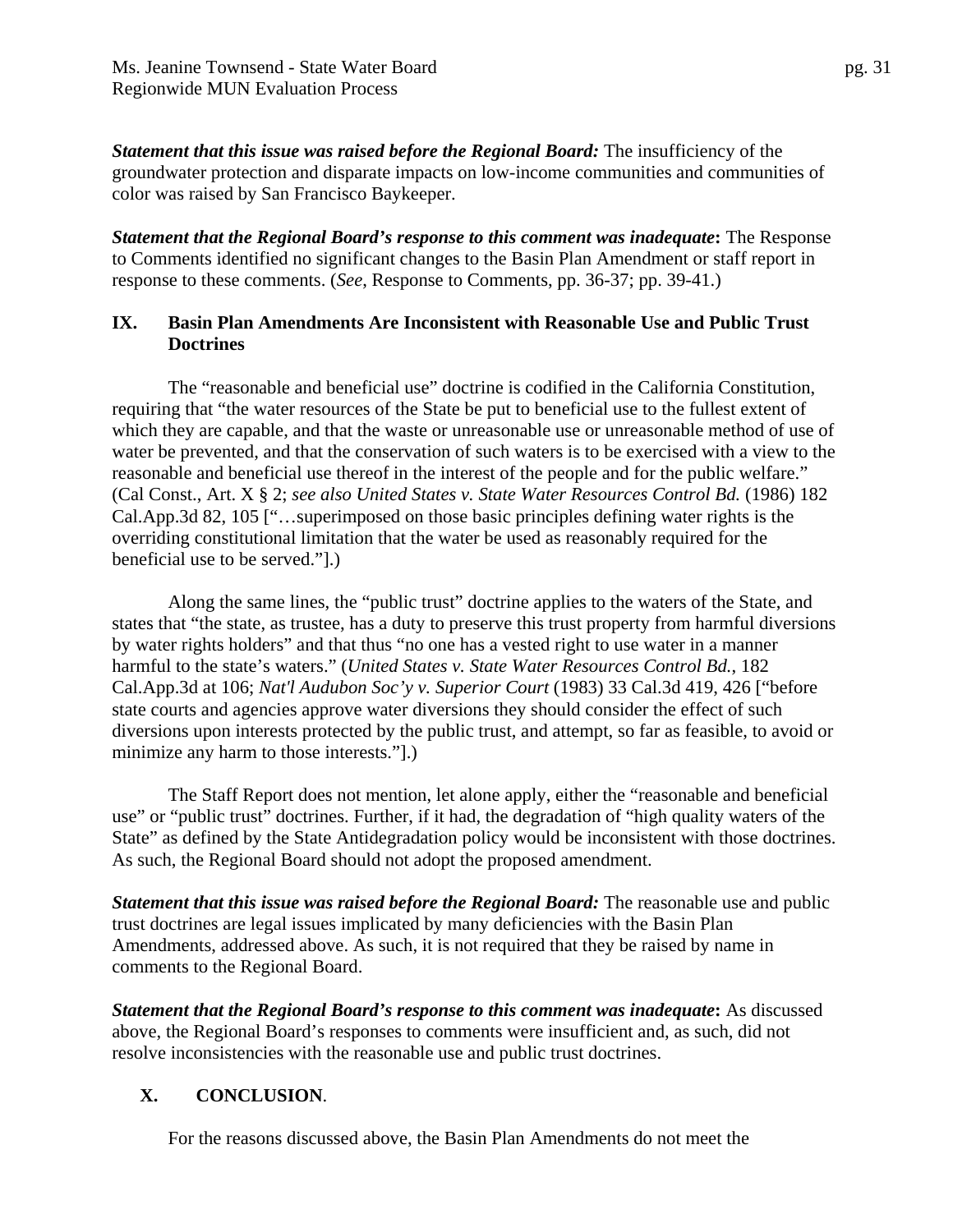*Statement that this issue was raised before the Regional Board:* The insufficiency of the groundwater protection and disparate impacts on low-income communities and communities of color was raised by San Francisco Baykeeper.

*Statement that the Regional Board's response to this comment was inadequate***:** The Response to Comments identified no significant changes to the Basin Plan Amendment or staff report in response to these comments. (*See*, Response to Comments, pp. 36-37; pp. 39-41.)

## **IX. Basin Plan Amendments Are Inconsistent with Reasonable Use and Public Trust Doctrines**

The "reasonable and beneficial use" doctrine is codified in the California Constitution, requiring that "the water resources of the State be put to beneficial use to the fullest extent of which they are capable, and that the waste or unreasonable use or unreasonable method of use of water be prevented, and that the conservation of such waters is to be exercised with a view to the reasonable and beneficial use thereof in the interest of the people and for the public welfare." (Cal Const., Art. X § 2; *see also United States v. State Water Resources Control Bd.* (1986) 182 Cal.App.3d 82, 105 ["…superimposed on those basic principles defining water rights is the overriding constitutional limitation that the water be used as reasonably required for the beneficial use to be served."].)

Along the same lines, the "public trust" doctrine applies to the waters of the State, and states that "the state, as trustee, has a duty to preserve this trust property from harmful diversions by water rights holders" and that thus "no one has a vested right to use water in a manner harmful to the state's waters." (*United States v. State Water Resources Control Bd.*, 182 Cal.App.3d at 106; *Nat'l Audubon Soc'y v. Superior Court* (1983) 33 Cal.3d 419, 426 ["before state courts and agencies approve water diversions they should consider the effect of such diversions upon interests protected by the public trust, and attempt, so far as feasible, to avoid or minimize any harm to those interests."].)

 The Staff Report does not mention, let alone apply, either the "reasonable and beneficial use" or "public trust" doctrines. Further, if it had, the degradation of "high quality waters of the State" as defined by the State Antidegradation policy would be inconsistent with those doctrines. As such, the Regional Board should not adopt the proposed amendment.

*Statement that this issue was raised before the Regional Board:* The reasonable use and public trust doctrines are legal issues implicated by many deficiencies with the Basin Plan Amendments, addressed above. As such, it is not required that they be raised by name in comments to the Regional Board.

*Statement that the Regional Board's response to this comment was inadequate***:** As discussed above, the Regional Board's responses to comments were insufficient and, as such, did not resolve inconsistencies with the reasonable use and public trust doctrines.

# **X. CONCLUSION**.

For the reasons discussed above, the Basin Plan Amendments do not meet the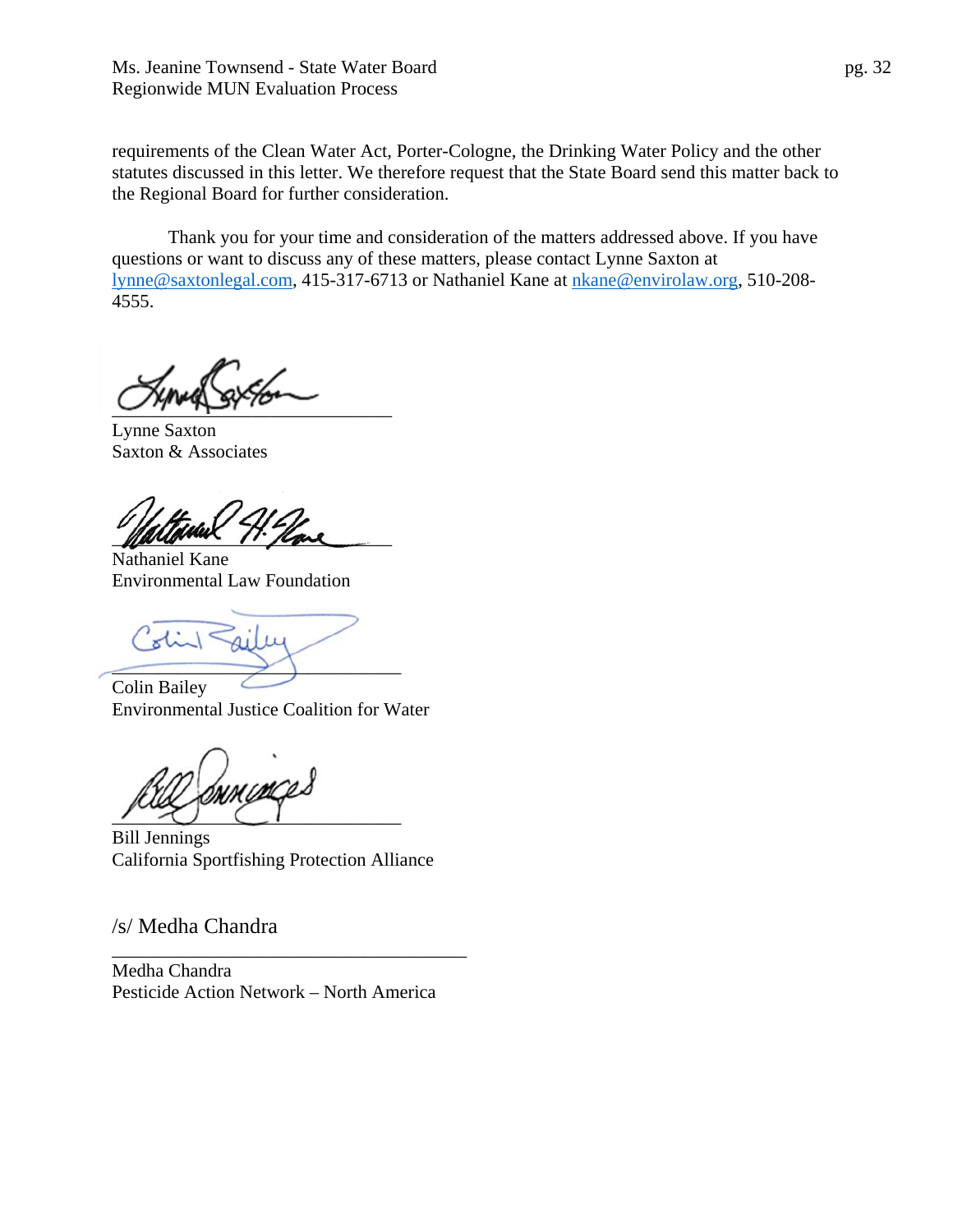requirements of the Clean Water Act, Porter-Cologne, the Drinking Water Policy and the other statutes discussed in this letter. We therefore request that the State Board send this matter back to the Regional Board for further consideration.

Thank you for your time and consideration of the matters addressed above. If you have questions or want to discuss any of these matters, please contact Lynne Saxton at lynne@saxtonlegal.com, 415-317-6713 or Nathaniel Kane at nkane@envirolaw.org, 510-208- 4555.

 $U$   $\sim$   $V$  $\sim$   $V$  $\sim$   $V$  $\sim$   $V$ 

Lynne Saxton Saxton & Associates

Mariame 11. Rove

Nathaniel Kane Environmental Law Foundation

Colin Sailey \_\_\_\_\_\_\_\_\_\_\_\_\_\_\_\_\_\_\_\_\_\_\_\_\_\_\_\_\_\_\_

Colin Bailey Environmental Justice Coalition for Water

 $\sim$   $\sim$   $\sim$ 

Bill Jennings California Sportfishing Protection Alliance

/s/ Medha Chandra

Medha Chandra Pesticide Action Network – North America

\_\_\_\_\_\_\_\_\_\_\_\_\_\_\_\_\_\_\_\_\_\_\_\_\_\_\_\_\_\_\_\_\_\_\_\_\_\_